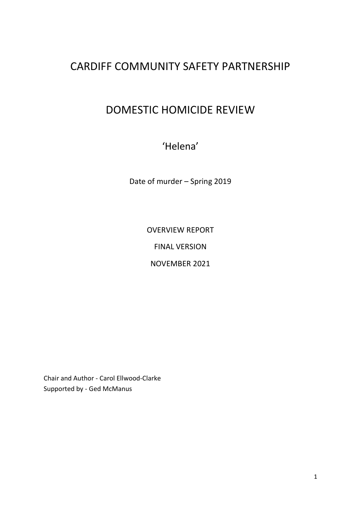# CARDIFF COMMUNITY SAFETY PARTNERSHIP

# DOMESTIC HOMICIDE REVIEW

'Helena'

Date of murder – Spring 2019

OVERVIEW REPORT

FINAL VERSION

NOVEMBER 2021

Chair and Author - Carol Ellwood-Clarke Supported by - Ged McManus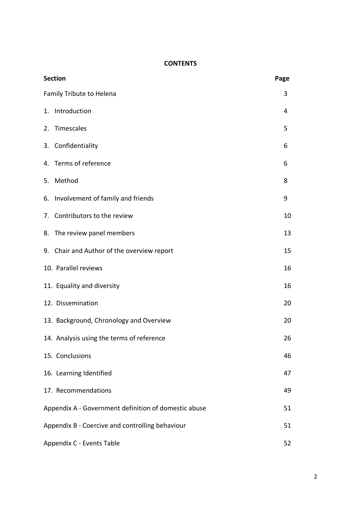## **CONTENTS**

| <b>Section</b>                                       | Page |
|------------------------------------------------------|------|
| Family Tribute to Helena                             | 3    |
| 1. Introduction                                      | 4    |
| 2. Timescales                                        | 5    |
| 3. Confidentiality                                   | 6    |
| 4. Terms of reference                                | 6    |
| 5. Method                                            | 8    |
| 6. Involvement of family and friends                 | 9    |
| 7. Contributors to the review                        | 10   |
| 8. The review panel members                          | 13   |
| 9. Chair and Author of the overview report           | 15   |
| 10. Parallel reviews                                 | 16   |
| 11. Equality and diversity                           | 16   |
| 12. Dissemination                                    | 20   |
| 13. Background, Chronology and Overview              | 20   |
| 14. Analysis using the terms of reference            | 26   |
| 15. Conclusions                                      | 46   |
| 16. Learning Identified                              | 47   |
| 17. Recommendations                                  | 49   |
| Appendix A - Government definition of domestic abuse | 51   |
| Appendix B - Coercive and controlling behaviour      | 51   |
| Appendix C - Events Table                            | 52   |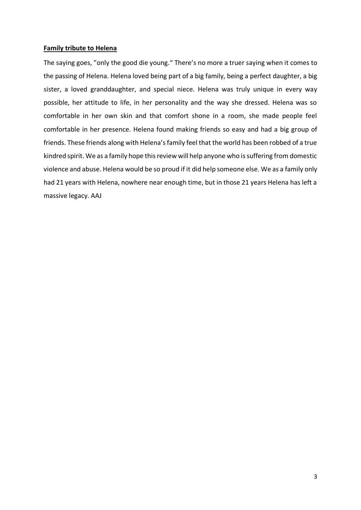#### **Family tribute to Helena**

The saying goes, "only the good die young." There's no more a truer saying when it comes to the passing of Helena. Helena loved being part of a big family, being a perfect daughter, a big sister, a loved granddaughter, and special niece. Helena was truly unique in every way possible, her attitude to life, in her personality and the way she dressed. Helena was so comfortable in her own skin and that comfort shone in a room, she made people feel comfortable in her presence. Helena found making friends so easy and had a big group of friends. These friends along with Helena's family feel that the world has been robbed of a true kindred spirit. We as a family hope this review will help anyone who is suffering from domestic violence and abuse. Helena would be so proud if it did help someone else. We as a family only had 21 years with Helena, nowhere near enough time, but in those 21 years Helena has left a massive legacy. AAJ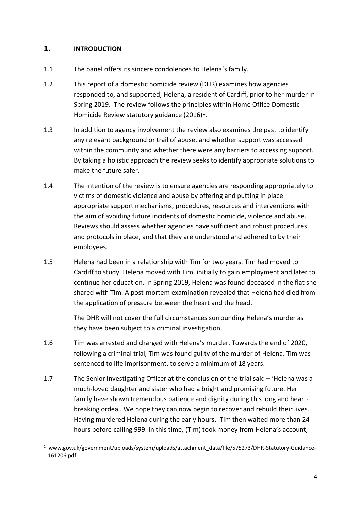## **1. INTRODUCTION**

- 1.1 The panel offers its sincere condolences to Helena's family.
- 1.2 This report of a domestic homicide review (DHR) examines how agencies responded to, and supported, Helena, a resident of Cardiff, prior to her murder in Spring 2019. The review follows the principles within Home Office Domestic Homicide Review statutory guidance  $(2016)^1$ .
- 1.3 In addition to agency involvement the review also examines the past to identify any relevant background or trail of abuse, and whether support was accessed within the community and whether there were any barriers to accessing support. By taking a holistic approach the review seeks to identify appropriate solutions to make the future safer.
- 1.4 The intention of the review is to ensure agencies are responding appropriately to victims of domestic violence and abuse by offering and putting in place appropriate support mechanisms, procedures, resources and interventions with the aim of avoiding future incidents of domestic homicide, violence and abuse. Reviews should assess whether agencies have sufficient and robust procedures and protocols in place, and that they are understood and adhered to by their employees.
- 1.5 Helena had been in a relationship with Tim for two years. Tim had moved to Cardiff to study. Helena moved with Tim, initially to gain employment and later to continue her education. In Spring 2019, Helena was found deceased in the flat she shared with Tim. A post-mortem examination revealed that Helena had died from the application of pressure between the heart and the head.

The DHR will not cover the full circumstances surrounding Helena's murder as they have been subject to a criminal investigation.

- 1.6 Tim was arrested and charged with Helena's murder. Towards the end of 2020, following a criminal trial, Tim was found guilty of the murder of Helena. Tim was sentenced to life imprisonment, to serve a minimum of 18 years.
- 1.7 The Senior Investigating Officer at the conclusion of the trial said 'Helena was a much-loved daughter and sister who had a bright and promising future. Her family have shown tremendous patience and dignity during this long and heartbreaking ordeal. We hope they can now begin to recover and rebuild their lives. Having murdered Helena during the early hours. Tim then waited more than 24 hours before calling 999. In this time, (Tim) took money from Helena's account,

 $1$  www.gov.uk/government/uploads/system/uploads/attachment\_data/file/575273/DHR-Statutory-Guidance-161206.pdf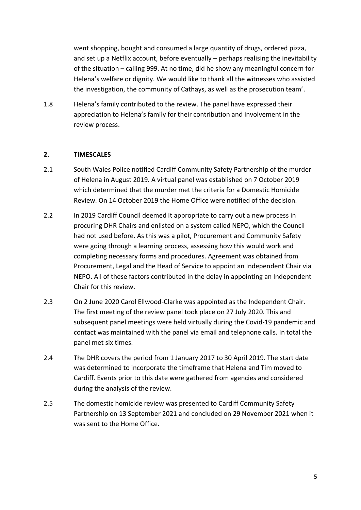went shopping, bought and consumed a large quantity of drugs, ordered pizza, and set up a Netflix account, before eventually – perhaps realising the inevitability of the situation – calling 999. At no time, did he show any meaningful concern for Helena's welfare or dignity. We would like to thank all the witnesses who assisted the investigation, the community of Cathays, as well as the prosecution team'.

1.8 Helena's family contributed to the review. The panel have expressed their appreciation to Helena's family for their contribution and involvement in the review process.

#### **2. TIMESCALES**

- 2.1 South Wales Police notified Cardiff Community Safety Partnership of the murder of Helena in August 2019. A virtual panel was established on 7 October 2019 which determined that the murder met the criteria for a Domestic Homicide Review. On 14 October 2019 the Home Office were notified of the decision.
- 2.2 In 2019 Cardiff Council deemed it appropriate to carry out a new process in procuring DHR Chairs and enlisted on a system called NEPO, which the Council had not used before. As this was a pilot, Procurement and Community Safety were going through a learning process, assessing how this would work and completing necessary forms and procedures. Agreement was obtained from Procurement, Legal and the Head of Service to appoint an Independent Chair via NEPO. All of these factors contributed in the delay in appointing an Independent Chair for this review.
- 2.3 On 2 June 2020 Carol Ellwood-Clarke was appointed as the Independent Chair. The first meeting of the review panel took place on 27 July 2020. This and subsequent panel meetings were held virtually during the Covid-19 pandemic and contact was maintained with the panel via email and telephone calls. In total the panel met six times.
- 2.4 The DHR covers the period from 1 January 2017 to 30 April 2019. The start date was determined to incorporate the timeframe that Helena and Tim moved to Cardiff. Events prior to this date were gathered from agencies and considered during the analysis of the review.
- 2.5 The domestic homicide review was presented to Cardiff Community Safety Partnership on 13 September 2021 and concluded on 29 November 2021 when it was sent to the Home Office.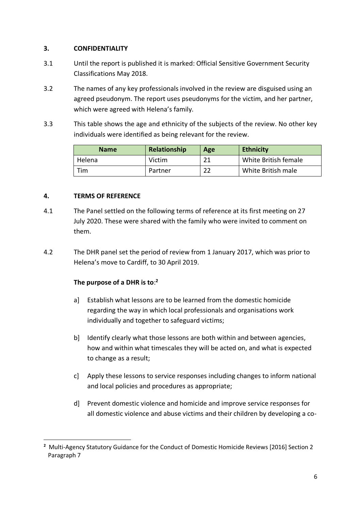## **3. CONFIDENTIALITY**

- 3.1 Until the report is published it is marked: Official Sensitive Government Security Classifications May 2018.
- 3.2 The names of any key professionals involved in the review are disguised using an agreed pseudonym. The report uses pseudonyms for the victim, and her partner, which were agreed with Helena's family.
- 3.3 This table shows the age and ethnicity of the subjects of the review. No other key individuals were identified as being relevant for the review.

| <b>Name</b> | Relationship | Age | <b>Ethnicity</b>     |
|-------------|--------------|-----|----------------------|
| Helena      | Victim       |     | White British female |
| Tim         | Partner      | 22  | White British male   |

## **4. TERMS OF REFERENCE**

- 4.1 The Panel settled on the following terms of reference at its first meeting on 27 July 2020. These were shared with the family who were invited to comment on them.
- 4.2 The DHR panel set the period of review from 1 January 2017, which was prior to Helena's move to Cardiff, to 30 April 2019.

# **The purpose of a DHR is to**: **2**

- a] Establish what lessons are to be learned from the domestic homicide regarding the way in which local professionals and organisations work individually and together to safeguard victims;
- b] Identify clearly what those lessons are both within and between agencies, how and within what timescales they will be acted on, and what is expected to change as a result;
- c] Apply these lessons to service responses including changes to inform national and local policies and procedures as appropriate;
- d] Prevent domestic violence and homicide and improve service responses for all domestic violence and abuse victims and their children by developing a co-

**<sup>2</sup>** Multi-Agency Statutory Guidance for the Conduct of Domestic Homicide Reviews [2016] Section 2 Paragraph 7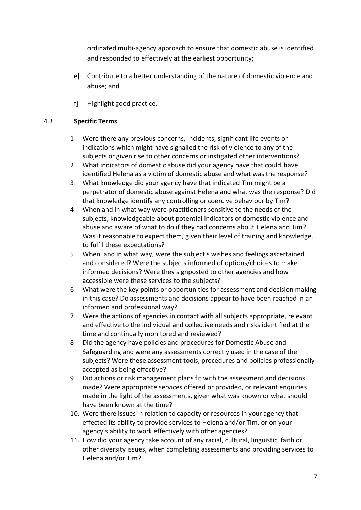ordinated multi-agency approach to ensure that domestic abuse is identified and responded to effectively at the earliest opportunity;

- e] Contribute to a better understanding of the nature of domestic violence and abuse; and
- f] Highlight good practice.

## 4.3 **Specific Terms**

- 1. Were there any previous concerns, incidents, significant life events or indications which might have signalled the risk of violence to any of the subjects or given rise to other concerns or instigated other interventions?
- 2. What indicators of domestic abuse did your agency have that could have identified Helena as a victim of domestic abuse and what was the response?
- 3. What knowledge did your agency have that indicated Tim might be a perpetrator of domestic abuse against Helena and what was the response? Did that knowledge identify any controlling or coercive behaviour by Tim?
- 4. When and in what way were practitioners sensitive to the needs of the subjects, knowledgeable about potential indicators of domestic violence and abuse and aware of what to do if they had concerns about Helena and Tim? Was it reasonable to expect them, given their level of training and knowledge, to fulfil these expectations?
- 5. When, and in what way, were the subject's wishes and feelings ascertained and considered? Were the subjects informed of options/choices to make informed decisions? Were they signposted to other agencies and how accessible were these services to the subjects?
- 6. What were the key points or opportunities for assessment and decision making in this case? Do assessments and decisions appear to have been reached in an informed and professional way?
- 7. Were the actions of agencies in contact with all subjects appropriate, relevant and effective to the individual and collective needs and risks identified at the time and continually monitored and reviewed?
- 8. Did the agency have policies and procedures for Domestic Abuse and Safeguarding and were any assessments correctly used in the case of the subjects? Were these assessment tools, procedures and policies professionally accepted as being effective?
- 9. Did actions or risk management plans fit with the assessment and decisions made? Were appropriate services offered or provided, or relevant enquiries made in the light of the assessments, given what was known or what should have been known at the time?
- 10. Were there issues in relation to capacity or resources in your agency that effected its ability to provide services to Helena and/or Tim, or on your agency's ability to work effectively with other agencies?
- 11. How did your agency take account of any racial, cultural, linguistic, faith or other diversity issues, when completing assessments and providing services to Helena and/or Tim?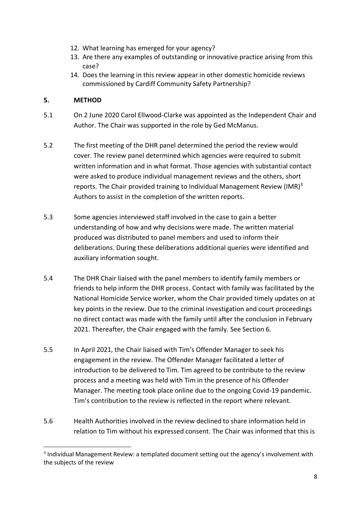- 12. What learning has emerged for your agency?
- 13. Are there any examples of outstanding or innovative practice arising from this case?
- 14. Does the learning in this review appear in other domestic homicide reviews commissioned by Cardiff Community Safety Partnership?

## **5. METHOD**

- 5.1 On 2 June 2020 Carol Ellwood-Clarke was appointed as the Independent Chair and Author. The Chair was supported in the role by Ged McManus.
- 5.2 The first meeting of the DHR panel determined the period the review would cover. The review panel determined which agencies were required to submit written information and in what format. Those agencies with substantial contact were asked to produce individual management reviews and the others, short reports. The Chair provided training to Individual Management Review (IMR) $3$ Authors to assist in the completion of the written reports.
- 5.3 Some agencies interviewed staff involved in the case to gain a better understanding of how and why decisions were made. The written material produced was distributed to panel members and used to inform their deliberations. During these deliberations additional queries were identified and auxiliary information sought.
- 5.4 The DHR Chair liaised with the panel members to identify family members or friends to help inform the DHR process. Contact with family was facilitated by the National Homicide Service worker, whom the Chair provided timely updates on at key points in the review. Due to the criminal investigation and court proceedings no direct contact was made with the family until after the conclusion in February 2021. Thereafter, the Chair engaged with the family. See Section 6.
- 5.5 In April 2021, the Chair liaised with Tim's Offender Manager to seek his engagement in the review. The Offender Manager facilitated a letter of introduction to be delivered to Tim. Tim agreed to be contribute to the review process and a meeting was held with Tim in the presence of his Offender Manager. The meeting took place online due to the ongoing Covid-19 pandemic. Tim's contribution to the review is reflected in the report where relevant.
- 5.6 Health Authorities involved in the review declined to share information held in relation to Tim without his expressed consent. The Chair was informed that this is

<sup>&</sup>lt;sup>3</sup> Individual Management Review: a templated document setting out the agency's involvement with the subjects of the review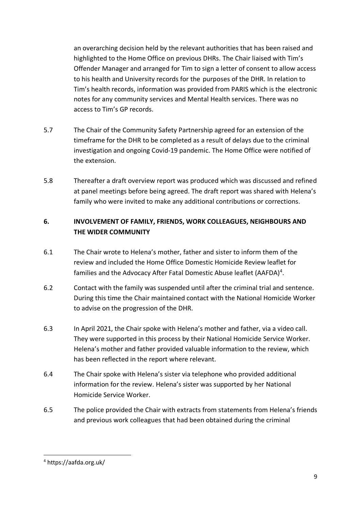an overarching decision held by the relevant authorities that has been raised and highlighted to the Home Office on previous DHRs. The Chair liaised with Tim's Offender Manager and arranged for Tim to sign a letter of consent to allow access to his health and University records for the purposes of the DHR. In relation to Tim's health records, information was provided from PARIS which is the electronic notes for any community services and Mental Health services. There was no access to Tim's GP records.

- 5.7 The Chair of the Community Safety Partnership agreed for an extension of the timeframe for the DHR to be completed as a result of delays due to the criminal investigation and ongoing Covid-19 pandemic. The Home Office were notified of the extension.
- 5.8 Thereafter a draft overview report was produced which was discussed and refined at panel meetings before being agreed. The draft report was shared with Helena's family who were invited to make any additional contributions or corrections.

# **6. INVOLVEMENT OF FAMILY, FRIENDS, WORK COLLEAGUES, NEIGHBOURS AND THE WIDER COMMUNITY**

- 6.1 The Chair wrote to Helena's mother, father and sister to inform them of the review and included the Home Office Domestic Homicide Review leaflet for families and the Advocacy After Fatal Domestic Abuse leaflet (AAFDA)<sup>4</sup>.
- 6.2 Contact with the family was suspended until after the criminal trial and sentence. During this time the Chair maintained contact with the National Homicide Worker to advise on the progression of the DHR.
- 6.3 In April 2021, the Chair spoke with Helena's mother and father, via a video call. They were supported in this process by their National Homicide Service Worker. Helena's mother and father provided valuable information to the review, which has been reflected in the report where relevant.
- 6.4 The Chair spoke with Helena's sister via telephone who provided additional information for the review. Helena's sister was supported by her National Homicide Service Worker.
- 6.5 The police provided the Chair with extracts from statements from Helena's friends and previous work colleagues that had been obtained during the criminal

<sup>4</sup> https://aafda.org.uk/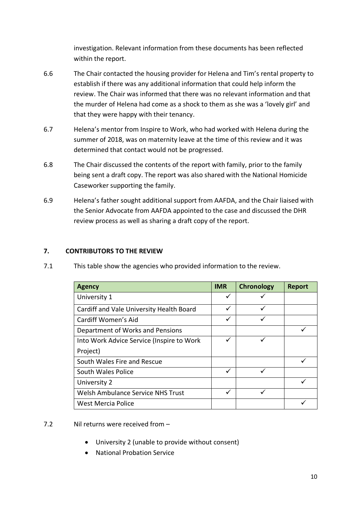investigation. Relevant information from these documents has been reflected within the report.

- 6.6 The Chair contacted the housing provider for Helena and Tim's rental property to establish if there was any additional information that could help inform the review. The Chair was informed that there was no relevant information and that the murder of Helena had come as a shock to them as she was a 'lovely girl' and that they were happy with their tenancy.
- 6.7 Helena's mentor from Inspire to Work, who had worked with Helena during the summer of 2018, was on maternity leave at the time of this review and it was determined that contact would not be progressed.
- 6.8 The Chair discussed the contents of the report with family, prior to the family being sent a draft copy. The report was also shared with the National Homicide Caseworker supporting the family.
- 6.9 Helena's father sought additional support from AAFDA, and the Chair liaised with the Senior Advocate from AAFDA appointed to the case and discussed the DHR review process as well as sharing a draft copy of the report.

## **7. CONTRIBUTORS TO THE REVIEW**

7.1 This table show the agencies who provided information to the review.

| <b>Agency</b>                             | <b>IMR</b> | <b>Chronology</b> | <b>Report</b> |
|-------------------------------------------|------------|-------------------|---------------|
| University 1                              | ✓          |                   |               |
| Cardiff and Vale University Health Board  | ✓          |                   |               |
| Cardiff Women's Aid                       | ✓          |                   |               |
| Department of Works and Pensions          |            |                   |               |
| Into Work Advice Service (Inspire to Work | ✓          |                   |               |
| Project)                                  |            |                   |               |
| South Wales Fire and Rescue               |            |                   |               |
| South Wales Police                        | ✓          |                   |               |
| University 2                              |            |                   |               |
| Welsh Ambulance Service NHS Trust         | ✓          |                   |               |
| <b>West Mercia Police</b>                 |            |                   |               |

- 7.2 Nil returns were received from
	- University 2 (unable to provide without consent)
	- National Probation Service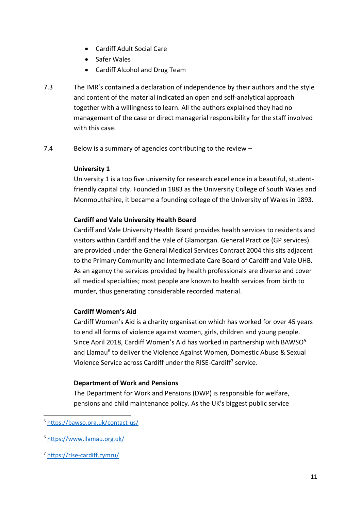- Cardiff Adult Social Care
- Safer Wales
- Cardiff Alcohol and Drug Team
- 7.3 The IMR's contained a declaration of independence by their authors and the style and content of the material indicated an open and self-analytical approach together with a willingness to learn. All the authors explained they had no management of the case or direct managerial responsibility for the staff involved with this case.
- 7.4 Below is a summary of agencies contributing to the review –

## **University 1**

University 1 is a top five university for research excellence in a beautiful, studentfriendly capital city. Founded in 1883 as the University College of South Wales and Monmouthshire, it became a founding college of the University of Wales in 1893.

## **Cardiff and Vale University Health Board**

Cardiff and Vale University Health Board provides health services to residents and visitors within Cardiff and the Vale of Glamorgan. General Practice (GP services) are provided under the General Medical Services Contract 2004 this sits adjacent to the Primary Community and Intermediate Care Board of Cardiff and Vale UHB. As an agency the services provided by health professionals are diverse and cover all medical specialties; most people are known to health services from birth to murder, thus generating considerable recorded material.

#### **Cardiff Women's Aid**

Cardiff Women's Aid is a charity organisation which has worked for over 45 years to end all forms of violence against women, girls, children and young people. Since April 2018, Cardiff Women's Aid has worked in partnership with BAWSO<sup>5</sup> and Llamau<sup>6</sup> to deliver the Violence Against Women, Domestic Abuse & Sexual Violence Service across Cardiff under the RISE-Cardiff<sup>7</sup> service.

#### **Department of Work and Pensions**

The Department for Work and Pensions (DWP) is responsible for welfare, pensions and child maintenance policy. As the UK's biggest public service

<sup>7</sup> <https://rise-cardiff.cymru/>

<sup>5</sup> <https://bawso.org.uk/contact-us/>

<sup>6</sup> <https://www.llamau.org.uk/>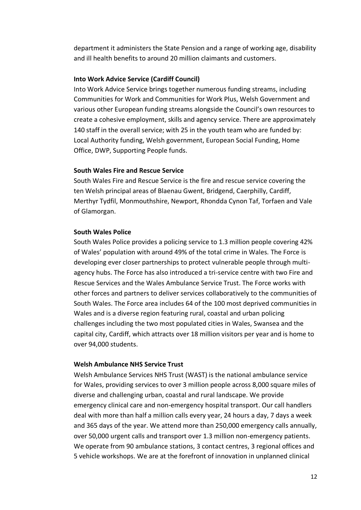department it administers the State Pension and a range of working age, disability and ill health benefits to around 20 million claimants and customers.

#### **Into Work Advice Service (Cardiff Council)**

Into Work Advice Service brings together numerous funding streams, including Communities for Work and Communities for Work Plus, Welsh Government and various other European funding streams alongside the Council's own resources to create a cohesive employment, skills and agency service. There are approximately 140 staff in the overall service; with 25 in the youth team who are funded by: Local Authority funding, Welsh government, European Social Funding, Home Office, DWP, Supporting People funds.

#### **South Wales Fire and Rescue Service**

South Wales Fire and Rescue Service is the fire and rescue service covering the ten Welsh principal areas of Blaenau Gwent, Bridgend, Caerphilly, Cardiff, Merthyr Tydfil, Monmouthshire, Newport, Rhondda Cynon Taf, Torfaen and Vale of Glamorgan.

#### **South Wales Police**

South Wales Police provides a policing service to 1.3 million people covering 42% of Wales' population with around 49% of the total crime in Wales. The Force is developing ever closer partnerships to protect vulnerable people through multiagency hubs. The Force has also introduced a tri-service centre with two Fire and Rescue Services and the Wales Ambulance Service Trust. The Force works with other forces and partners to deliver services collaboratively to the communities of South Wales. The Force area includes 64 of the 100 most deprived communities in Wales and is a diverse region featuring rural, coastal and urban policing challenges including the two most populated cities in Wales, Swansea and the capital city, Cardiff, which attracts over 18 million visitors per year and is home to over 94,000 students.

#### **Welsh Ambulance NHS Service Trust**

Welsh Ambulance Services NHS Trust (WAST) is the national ambulance service for Wales, providing services to over 3 million people across 8,000 square miles of diverse and challenging urban, coastal and rural landscape. We provide emergency clinical care and non-emergency hospital transport. Our call handlers deal with more than half a million calls every year, 24 hours a day, 7 days a week and 365 days of the year. We attend more than 250,000 emergency calls annually, over 50,000 urgent calls and transport over 1.3 million non-emergency patients. We operate from 90 ambulance stations, 3 contact centres, 3 regional offices and 5 vehicle workshops. We are at the forefront of innovation in unplanned clinical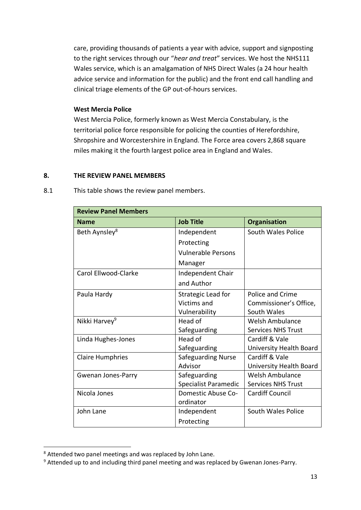care, providing thousands of patients a year with advice, support and signposting to the right services through our "*hear and treat*" services. We host the NHS111 Wales service, which is an amalgamation of NHS Direct Wales (a 24 hour health advice service and information for the public) and the front end call handling and clinical triage elements of the GP out-of-hours services.

### **West Mercia Police**

West Mercia Police, formerly known as West Mercia Constabulary, is the territorial police force responsible for policing the counties of Herefordshire, Shropshire and Worcestershire in England. The Force area covers 2,868 square miles making it the fourth largest police area in England and Wales.

## **8. THE REVIEW PANEL MEMBERS**

| 8.1 | This table shows the review panel members. |  |
|-----|--------------------------------------------|--|
|-----|--------------------------------------------|--|

| <b>Review Panel Members</b> |                           |                           |
|-----------------------------|---------------------------|---------------------------|
| <b>Name</b>                 | <b>Job Title</b>          | <b>Organisation</b>       |
| Beth Aynsley <sup>8</sup>   | Independent               | South Wales Police        |
|                             | Protecting                |                           |
|                             | <b>Vulnerable Persons</b> |                           |
|                             | Manager                   |                           |
| Carol Ellwood-Clarke        | Independent Chair         |                           |
|                             | and Author                |                           |
| Paula Hardy                 | Strategic Lead for        | Police and Crime          |
|                             | Victims and               | Commissioner's Office,    |
|                             | Vulnerability             | South Wales               |
| Nikki Harvey <sup>9</sup>   | Head of                   | <b>Welsh Ambulance</b>    |
|                             | Safeguarding              | <b>Services NHS Trust</b> |
| Linda Hughes-Jones          | Head of                   | Cardiff & Vale            |
|                             | Safeguarding              | University Health Board   |
| <b>Claire Humphries</b>     | <b>Safeguarding Nurse</b> | Cardiff & Vale            |
|                             | Advisor                   | University Health Board   |
| <b>Gwenan Jones-Parry</b>   | Safeguarding              | <b>Welsh Ambulance</b>    |
|                             | Specialist Paramedic      | <b>Services NHS Trust</b> |
| Nicola Jones                | Domestic Abuse Co-        | <b>Cardiff Council</b>    |
|                             | ordinator                 |                           |
| John Lane                   | Independent               | South Wales Police        |
|                             | Protecting                |                           |

<sup>&</sup>lt;sup>8</sup> Attended two panel meetings and was replaced by John Lane.

<sup>&</sup>lt;sup>9</sup> Attended up to and including third panel meeting and was replaced by Gwenan Jones-Parry.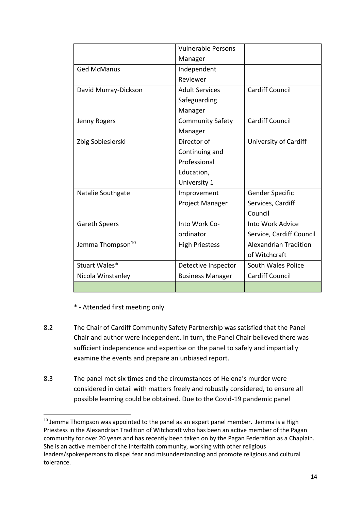|                              | <b>Vulnerable Persons</b> |                              |
|------------------------------|---------------------------|------------------------------|
|                              | Manager                   |                              |
| <b>Ged McManus</b>           | Independent               |                              |
|                              | Reviewer                  |                              |
| David Murray-Dickson         | <b>Adult Services</b>     | <b>Cardiff Council</b>       |
|                              | Safeguarding              |                              |
|                              | Manager                   |                              |
| Jenny Rogers                 | <b>Community Safety</b>   | <b>Cardiff Council</b>       |
|                              | Manager                   |                              |
| Zbig Sobiesierski            | Director of               | <b>University of Cardiff</b> |
|                              | Continuing and            |                              |
|                              | Professional              |                              |
|                              | Education,                |                              |
|                              | University 1              |                              |
| Natalie Southgate            | Improvement               | Gender Specific              |
|                              | Project Manager           | Services, Cardiff            |
|                              |                           | Council                      |
| <b>Gareth Speers</b>         | Into Work Co-             | Into Work Advice             |
|                              | ordinator                 | Service, Cardiff Council     |
| Jemma Thompson <sup>10</sup> | <b>High Priestess</b>     | <b>Alexandrian Tradition</b> |
|                              |                           | of Witchcraft                |
| Stuart Wales*                | Detective Inspector       | South Wales Police           |
| Nicola Winstanley            | <b>Business Manager</b>   | <b>Cardiff Council</b>       |
|                              |                           |                              |

\* - Attended first meeting only

- 8.2 The Chair of Cardiff Community Safety Partnership was satisfied that the Panel Chair and author were independent. In turn, the Panel Chair believed there was sufficient independence and expertise on the panel to safely and impartially examine the events and prepare an unbiased report.
- 8.3 The panel met six times and the circumstances of Helena's murder were considered in detail with matters freely and robustly considered, to ensure all possible learning could be obtained. Due to the Covid-19 pandemic panel

 $10$  Jemma Thompson was appointed to the panel as an expert panel member. Jemma is a High Priestess in the Alexandrian Tradition of Witchcraft who has been an active member of the Pagan community for over 20 years and has recently been taken on by the Pagan Federation as a Chaplain. She is an active member of the Interfaith community, working with other religious leaders/spokespersons to dispel fear and misunderstanding and promote religious and cultural tolerance.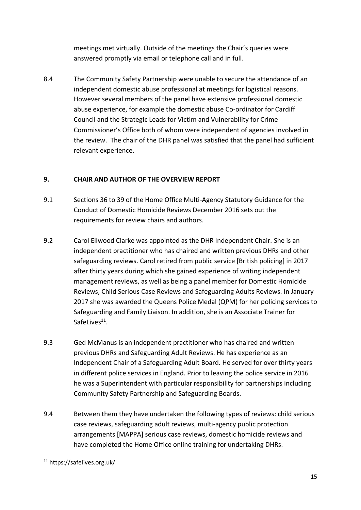meetings met virtually. Outside of the meetings the Chair's queries were answered promptly via email or telephone call and in full.

8.4 The Community Safety Partnership were unable to secure the attendance of an independent domestic abuse professional at meetings for logistical reasons. However several members of the panel have extensive professional domestic abuse experience, for example the domestic abuse Co-ordinator for Cardiff Council and the Strategic Leads for Victim and Vulnerability for Crime Commissioner's Office both of whom were independent of agencies involved in the review. The chair of the DHR panel was satisfied that the panel had sufficient relevant experience.

## **9. CHAIR AND AUTHOR OF THE OVERVIEW REPORT**

- 9.1 Sections 36 to 39 of the Home Office Multi-Agency Statutory Guidance for the Conduct of Domestic Homicide Reviews December 2016 sets out the requirements for review chairs and authors.
- 9.2 Carol Ellwood Clarke was appointed as the DHR Independent Chair. She is an independent practitioner who has chaired and written previous DHRs and other safeguarding reviews. Carol retired from public service [British policing] in 2017 after thirty years during which she gained experience of writing independent management reviews, as well as being a panel member for Domestic Homicide Reviews, Child Serious Case Reviews and Safeguarding Adults Reviews. In January 2017 she was awarded the Queens Police Medal (QPM) for her policing services to Safeguarding and Family Liaison. In addition, she is an Associate Trainer for SafeLives<sup>11</sup>.
- 9.3 Ged McManus is an independent practitioner who has chaired and written previous DHRs and Safeguarding Adult Reviews. He has experience as an Independent Chair of a Safeguarding Adult Board. He served for over thirty years in different police services in England. Prior to leaving the police service in 2016 he was a Superintendent with particular responsibility for partnerships including Community Safety Partnership and Safeguarding Boards.
- 9.4 Between them they have undertaken the following types of reviews: child serious case reviews, safeguarding adult reviews, multi-agency public protection arrangements [MAPPA] serious case reviews, domestic homicide reviews and have completed the Home Office online training for undertaking DHRs.

<sup>11</sup> https://safelives.org.uk/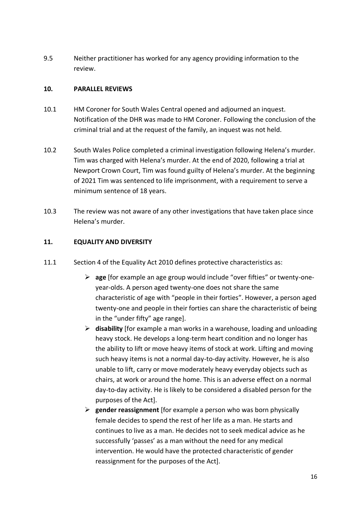9.5 Neither practitioner has worked for any agency providing information to the review.

## **10. PARALLEL REVIEWS**

- 10.1 HM Coroner for South Wales Central opened and adjourned an inquest. Notification of the DHR was made to HM Coroner. Following the conclusion of the criminal trial and at the request of the family, an inquest was not held.
- 10.2 South Wales Police completed a criminal investigation following Helena's murder. Tim was charged with Helena's murder. At the end of 2020, following a trial at Newport Crown Court, Tim was found guilty of Helena's murder. At the beginning of 2021 Tim was sentenced to life imprisonment, with a requirement to serve a minimum sentence of 18 years.
- 10.3 The review was not aware of any other investigations that have taken place since Helena's murder.

## **11. EQUALITY AND DIVERSITY**

- 11.1 Section 4 of the Equality Act 2010 defines protective characteristics as:
	- ➢ **age** [for example an age group would include "over fifties" or twenty-oneyear-olds. A person aged twenty-one does not share the same characteristic of age with "people in their forties". However, a person aged twenty-one and people in their forties can share the characteristic of being in the "under fifty" age range].
	- ➢ **disability** [for example a man works in a warehouse, loading and unloading heavy stock. He develops a long-term heart condition and no longer has the ability to lift or move heavy items of stock at work. Lifting and moving such heavy items is not a normal day-to-day activity. However, he is also unable to lift, carry or move moderately heavy everyday objects such as chairs, at work or around the home. This is an adverse effect on a normal day-to-day activity. He is likely to be considered a disabled person for the purposes of the Act].
	- ➢ **gender reassignment** [for example a person who was born physically female decides to spend the rest of her life as a man. He starts and continues to live as a man. He decides not to seek medical advice as he successfully 'passes' as a man without the need for any medical intervention. He would have the protected characteristic of gender reassignment for the purposes of the Act].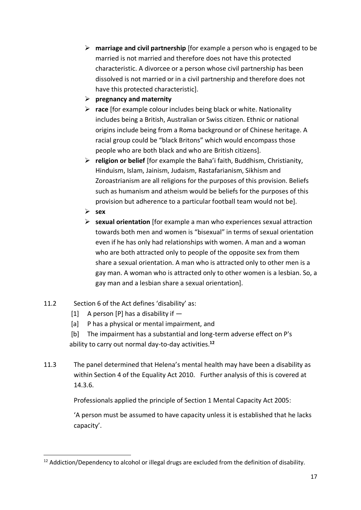- ➢ **marriage and civil partnership** [for example a person who is engaged to be married is not married and therefore does not have this protected characteristic. A divorcee or a person whose civil partnership has been dissolved is not married or in a civil partnership and therefore does not have this protected characteristic].
- ➢ **pregnancy and maternity**
- ➢ **race** [for example colour includes being black or white. Nationality includes being a British, Australian or Swiss citizen. Ethnic or national origins include being from a Roma background or of Chinese heritage. A racial group could be "black Britons" which would encompass those people who are both black and who are British citizens].
- ➢ **religion or belief** [for example the Baha'i faith, Buddhism, Christianity, Hinduism, Islam, Jainism, Judaism, Rastafarianism, Sikhism and Zoroastrianism are all religions for the purposes of this provision. Beliefs such as humanism and atheism would be beliefs for the purposes of this provision but adherence to a particular football team would not be].
- ➢ **sex**
- ➢ **sexual orientation** [for example a man who experiences sexual attraction towards both men and women is "bisexual" in terms of sexual orientation even if he has only had relationships with women. A man and a woman who are both attracted only to people of the opposite sex from them share a sexual orientation. A man who is attracted only to other men is a gay man. A woman who is attracted only to other women is a lesbian. So, a gay man and a lesbian share a sexual orientation].
- 11.2 Section 6 of the Act defines 'disability' as:
	- [1] A person [P] has a disability if  $-$
	- [a] P has a physical or mental impairment, and

[b] The impairment has a substantial and long-term adverse effect on P's ability to carry out normal day-to-day activities. **12**

11.3 The panel determined that Helena's mental health may have been a disability as within Section 4 of the Equality Act 2010. Further analysis of this is covered at 14.3.6.

Professionals applied the principle of Section 1 Mental Capacity Act 2005:

 'A person must be assumed to have capacity unless it is established that he lacks capacity'.

 $12$  Addiction/Dependency to alcohol or illegal drugs are excluded from the definition of disability.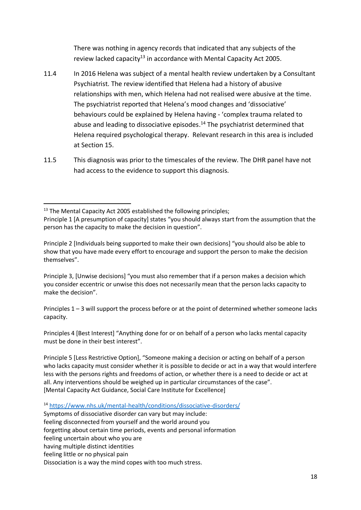There was nothing in agency records that indicated that any subjects of the review lacked capacity<sup>13</sup> in accordance with Mental Capacity Act 2005.

- 11.4 In 2016 Helena was subject of a mental health review undertaken by a Consultant Psychiatrist. The review identified that Helena had a history of abusive relationships with men, which Helena had not realised were abusive at the time. The psychiatrist reported that Helena's mood changes and 'dissociative' behaviours could be explained by Helena having - 'complex trauma related to abuse and leading to dissociative episodes. <sup>14</sup> The psychiatrist determined that Helena required psychological therapy. Relevant research in this area is included at Section 15.
- 11.5 This diagnosis was prior to the timescales of the review. The DHR panel have not had access to the evidence to support this diagnosis.

Principle 3, [Unwise decisions] "you must also remember that if a person makes a decision which you consider eccentric or unwise this does not necessarily mean that the person lacks capacity to make the decision".

Principles 1 – 3 will support the process before or at the point of determined whether someone lacks capacity.

Principles 4 [Best Interest] "Anything done for or on behalf of a person who lacks mental capacity must be done in their best interest".

<sup>14</sup> <https://www.nhs.uk/mental-health/conditions/dissociative-disorders/>

Symptoms of dissociative disorder can vary but may include: feeling disconnected from yourself and the world around you forgetting about certain time periods, events and personal information feeling uncertain about who you are having multiple distinct identities feeling little or no physical pain Dissociation is a way the mind copes with too much stress.

<sup>&</sup>lt;sup>13</sup> The Mental Capacity Act 2005 established the following principles;

Principle 1 [A presumption of capacity] states "you should always start from the assumption that the person has the capacity to make the decision in question".

Principle 2 [Individuals being supported to make their own decisions] "you should also be able to show that you have made every effort to encourage and support the person to make the decision themselves".

Principle 5 [Less Restrictive Option], "Someone making a decision or acting on behalf of a person who lacks capacity must consider whether it is possible to decide or act in a way that would interfere less with the persons rights and freedoms of action, or whether there is a need to decide or act at all. Any interventions should be weighed up in particular circumstances of the case". [Mental Capacity Act Guidance, Social Care Institute for Excellence]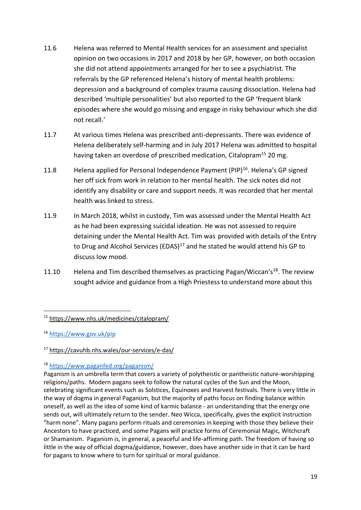- 11.6 Helena was referred to Mental Health services for an assessment and specialist opinion on two occasions in 2017 and 2018 by her GP, however, on both occasion she did not attend appointments arranged for her to see a psychiatrist. The referrals by the GP referenced Helena's history of mental health problems: depression and a background of complex trauma causing dissociation. Helena had described 'multiple personalities' but also reported to the GP 'frequent blank episodes where she would go missing and engage in risky behaviour which she did not recall.'
- 11.7 At various times Helena was prescribed anti-depressants. There was evidence of Helena deliberately self-harming and in July 2017 Helena was admitted to hospital having taken an overdose of prescribed medication, Citalopram<sup>15</sup> 20 mg.
- 11.8 Helena applied for Personal Independence Payment (PIP)<sup>16</sup>. Helena's GP signed her off sick from work in relation to her mental health. The sick notes did not identify any disability or care and support needs. It was recorded that her mental health was linked to stress.
- 11.9 In March 2018, whilst in custody, Tim was assessed under the Mental Health Act as he had been expressing suicidal ideation. He was not assessed to require detaining under the Mental Health Act. Tim was provided with details of the Entry to Drug and Alcohol Services (EDAS) $17$  and he stated he would attend his GP to discuss low mood.
- 11.10 Helena and Tim described themselves as practicing Pagan/Wiccan's<sup>18</sup>. The review sought advice and guidance from a High Priestess to understand more about this

<sup>15</sup> <https://www.nhs.uk/medicines/citalopram/>

<sup>16</sup> <https://www.gov.uk/pip>

<sup>17</sup> <https://cavuhb.nhs.wales/our-services/e-das/>

<sup>18</sup> <https://www.paganfed.org/paganism/>

Paganism is an umbrella term that covers a variety of polytheistic or pantheistic nature-worshipping religions/paths. Modern pagans seek to follow the natural cycles of the Sun and the Moon, celebrating significant events such as Solstices, Equinoxes and Harvest festivals. There is very little in the way of dogma in general Paganism, but the majority of paths focus on finding balance within oneself, as well as the idea of some kind of karmic balance - an understanding that the energy one sends out, will ultimately return to the sender. Neo Wicca, specifically, gives the explicit instruction "harm none". Many pagans perform rituals and ceremonies in keeping with those they believe their Ancestors to have practiced, and some Pagans will practice forms of Ceremonial Magic, Witchcraft or Shamanism. Paganism is, in general, a peaceful and life-affirming path. The freedom of having so little in the way of official dogma/guidance, however, does have another side in that it can be hard for pagans to know where to turn for spiritual or moral guidance.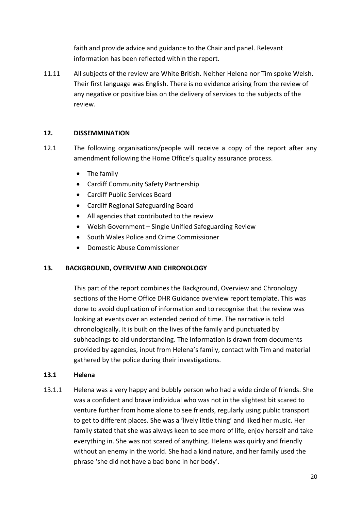faith and provide advice and guidance to the Chair and panel. Relevant information has been reflected within the report.

11.11 All subjects of the review are White British. Neither Helena nor Tim spoke Welsh. Their first language was English. There is no evidence arising from the review of any negative or positive bias on the delivery of services to the subjects of the review.

## **12. DISSEMMINATION**

- 12.1 The following organisations/people will receive a copy of the report after any amendment following the Home Office's quality assurance process.
	- The family
	- Cardiff Community Safety Partnership
	- Cardiff Public Services Board
	- Cardiff Regional Safeguarding Board
	- All agencies that contributed to the review
	- Welsh Government Single Unified Safeguarding Review
	- South Wales Police and Crime Commissioner
	- Domestic Abuse Commissioner

## **13. BACKGROUND, OVERVIEW AND CHRONOLOGY**

This part of the report combines the Background, Overview and Chronology sections of the Home Office DHR Guidance overview report template. This was done to avoid duplication of information and to recognise that the review was looking at events over an extended period of time. The narrative is told chronologically. It is built on the lives of the family and punctuated by subheadings to aid understanding. The information is drawn from documents provided by agencies, input from Helena's family, contact with Tim and material gathered by the police during their investigations.

## **13.1 Helena**

13.1.1 Helena was a very happy and bubbly person who had a wide circle of friends. She was a confident and brave individual who was not in the slightest bit scared to venture further from home alone to see friends, regularly using public transport to get to different places. She was a 'lively little thing' and liked her music. Her family stated that she was always keen to see more of life, enjoy herself and take everything in. She was not scared of anything. Helena was quirky and friendly without an enemy in the world. She had a kind nature, and her family used the phrase 'she did not have a bad bone in her body'.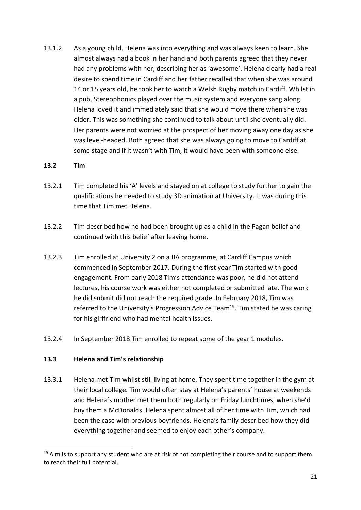13.1.2 As a young child, Helena was into everything and was always keen to learn. She almost always had a book in her hand and both parents agreed that they never had any problems with her, describing her as 'awesome'. Helena clearly had a real desire to spend time in Cardiff and her father recalled that when she was around 14 or 15 years old, he took her to watch a Welsh Rugby match in Cardiff. Whilst in a pub, Stereophonics played over the music system and everyone sang along. Helena loved it and immediately said that she would move there when she was older. This was something she continued to talk about until she eventually did. Her parents were not worried at the prospect of her moving away one day as she was level-headed. Both agreed that she was always going to move to Cardiff at some stage and if it wasn't with Tim, it would have been with someone else.

### **13.2 Tim**

- 13.2.1 Tim completed his 'A' levels and stayed on at college to study further to gain the qualifications he needed to study 3D animation at University. It was during this time that Tim met Helena.
- 13.2.2 Tim described how he had been brought up as a child in the Pagan belief and continued with this belief after leaving home.
- 13.2.3 Tim enrolled at University 2 on a BA programme, at Cardiff Campus which commenced in September 2017. During the first year Tim started with good engagement. From early 2018 Tim's attendance was poor, he did not attend lectures, his course work was either not completed or submitted late. The work he did submit did not reach the required grade. In February 2018, Tim was referred to the University's Progression Advice Team<sup>19</sup>. Tim stated he was caring for his girlfriend who had mental health issues.
- 13.2.4 In September 2018 Tim enrolled to repeat some of the year 1 modules.

## **13.3 Helena and Tim's relationship**

13.3.1 Helena met Tim whilst still living at home. They spent time together in the gym at their local college. Tim would often stay at Helena's parents' house at weekends and Helena's mother met them both regularly on Friday lunchtimes, when she'd buy them a McDonalds. Helena spent almost all of her time with Tim, which had been the case with previous boyfriends. Helena's family described how they did everything together and seemed to enjoy each other's company.

 $19$  Aim is to support any student who are at risk of not completing their course and to support them to reach their full potential.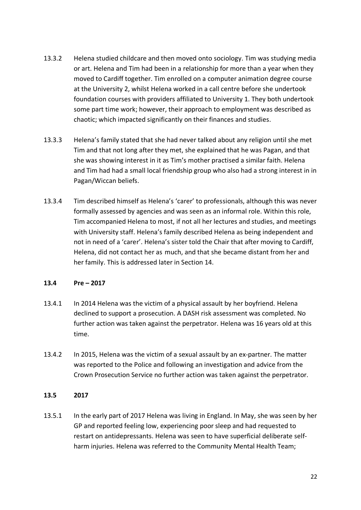- 13.3.2 Helena studied childcare and then moved onto sociology. Tim was studying media or art. Helena and Tim had been in a relationship for more than a year when they moved to Cardiff together. Tim enrolled on a computer animation degree course at the University 2, whilst Helena worked in a call centre before she undertook foundation courses with providers affiliated to University 1. They both undertook some part time work; however, their approach to employment was described as chaotic; which impacted significantly on their finances and studies.
- 13.3.3 Helena's family stated that she had never talked about any religion until she met Tim and that not long after they met, she explained that he was Pagan, and that she was showing interest in it as Tim's mother practised a similar faith. Helena and Tim had had a small local friendship group who also had a strong interest in in Pagan/Wiccan beliefs.
- 13.3.4 Tim described himself as Helena's 'carer' to professionals, although this was never formally assessed by agencies and was seen as an informal role. Within this role, Tim accompanied Helena to most, if not all her lectures and studies, and meetings with University staff. Helena's family described Helena as being independent and not in need of a 'carer'. Helena's sister told the Chair that after moving to Cardiff, Helena, did not contact her as much, and that she became distant from her and her family. This is addressed later in Section 14.

#### **13.4 Pre – 2017**

- 13.4.1 In 2014 Helena was the victim of a physical assault by her boyfriend. Helena declined to support a prosecution. A DASH risk assessment was completed. No further action was taken against the perpetrator. Helena was 16 years old at this time.
- 13.4.2 In 2015, Helena was the victim of a sexual assault by an ex-partner. The matter was reported to the Police and following an investigation and advice from the Crown Prosecution Service no further action was taken against the perpetrator.

#### **13.5 2017**

13.5.1 In the early part of 2017 Helena was living in England. In May, she was seen by her GP and reported feeling low, experiencing poor sleep and had requested to restart on antidepressants. Helena was seen to have superficial deliberate selfharm injuries. Helena was referred to the Community Mental Health Team;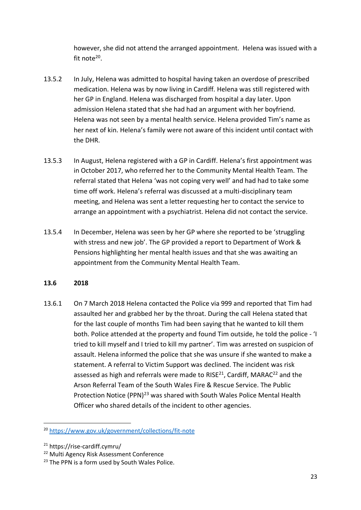however, she did not attend the arranged appointment. Helena was issued with a fit note<sup>20</sup>.

- 13.5.2 In July, Helena was admitted to hospital having taken an overdose of prescribed medication. Helena was by now living in Cardiff. Helena was still registered with her GP in England. Helena was discharged from hospital a day later. Upon admission Helena stated that she had had an argument with her boyfriend. Helena was not seen by a mental health service. Helena provided Tim's name as her next of kin. Helena's family were not aware of this incident until contact with the DHR.
- 13.5.3 In August, Helena registered with a GP in Cardiff. Helena's first appointment was in October 2017, who referred her to the Community Mental Health Team. The referral stated that Helena 'was not coping very well' and had had to take some time off work. Helena's referral was discussed at a multi-disciplinary team meeting, and Helena was sent a letter requesting her to contact the service to arrange an appointment with a psychiatrist. Helena did not contact the service.
- 13.5.4 In December, Helena was seen by her GP where she reported to be 'struggling with stress and new job'. The GP provided a report to Department of Work & Pensions highlighting her mental health issues and that she was awaiting an appointment from the Community Mental Health Team.

## **13.6 2018**

13.6.1 On 7 March 2018 Helena contacted the Police via 999 and reported that Tim had assaulted her and grabbed her by the throat. During the call Helena stated that for the last couple of months Tim had been saying that he wanted to kill them both. Police attended at the property and found Tim outside, he told the police - 'I tried to kill myself and I tried to kill my partner'. Tim was arrested on suspicion of assault. Helena informed the police that she was unsure if she wanted to make a statement. A referral to Victim Support was declined. The incident was risk assessed as high and referrals were made to RISE<sup>21</sup>, Cardiff, MARAC<sup>22</sup> and the Arson Referral Team of the South Wales Fire & Rescue Service. The Public Protection Notice (PPN)<sup>23</sup> was shared with South Wales Police Mental Health Officer who shared details of the incident to other agencies.

<sup>20</sup> <https://www.gov.uk/government/collections/fit-note>

<sup>21</sup> https://rise-cardiff.cymru/

<sup>&</sup>lt;sup>22</sup> Multi Agency Risk Assessment Conference

<sup>&</sup>lt;sup>23</sup> The PPN is a form used by South Wales Police.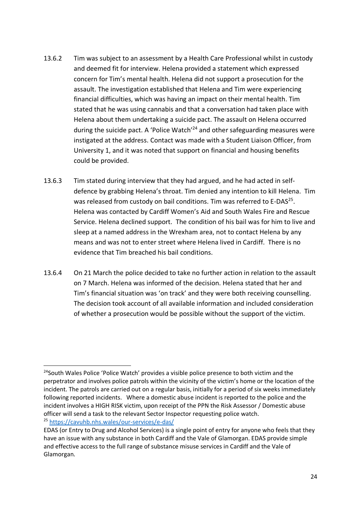- 13.6.2 Tim was subject to an assessment by a Health Care Professional whilst in custody and deemed fit for interview. Helena provided a statement which expressed concern for Tim's mental health. Helena did not support a prosecution for the assault. The investigation established that Helena and Tim were experiencing financial difficulties, which was having an impact on their mental health. Tim stated that he was using cannabis and that a conversation had taken place with Helena about them undertaking a suicide pact. The assault on Helena occurred during the suicide pact. A 'Police Watch'<sup>24</sup> and other safeguarding measures were instigated at the address. Contact was made with a Student Liaison Officer, from University 1, and it was noted that support on financial and housing benefits could be provided.
- 13.6.3 Tim stated during interview that they had argued, and he had acted in selfdefence by grabbing Helena's throat. Tim denied any intention to kill Helena. Tim was released from custody on bail conditions. Tim was referred to E-DAS<sup>25</sup>. Helena was contacted by Cardiff Women's Aid and South Wales Fire and Rescue Service. Helena declined support. The condition of his bail was for him to live and sleep at a named address in the Wrexham area, not to contact Helena by any means and was not to enter street where Helena lived in Cardiff. There is no evidence that Tim breached his bail conditions.
- 13.6.4 On 21 March the police decided to take no further action in relation to the assault on 7 March. Helena was informed of the decision. Helena stated that her and Tim's financial situation was 'on track' and they were both receiving counselling. The decision took account of all available information and included consideration of whether a prosecution would be possible without the support of the victim.

 $24$ South Wales Police 'Police Watch' provides a visible police presence to both victim and the perpetrator and involves police patrols within the vicinity of the victim's home or the location of the incident. The patrols are carried out on a regular basis, initially for a period of six weeks immediately following reported incidents. Where a domestic abuse incident is reported to the police and the incident involves a HIGH RISK victim, upon receipt of the PPN the Risk Assessor / Domestic abuse officer will send a task to the relevant Sector Inspector requesting police watch. <sup>25</sup> <https://cavuhb.nhs.wales/our-services/e-das/>

EDAS (or Entry to Drug and Alcohol Services) is a single point of entry for anyone who feels that they have an issue with any substance in both Cardiff and the Vale of Glamorgan. EDAS provide simple and effective access to the full range of substance misuse services in Cardiff and the Vale of Glamorgan.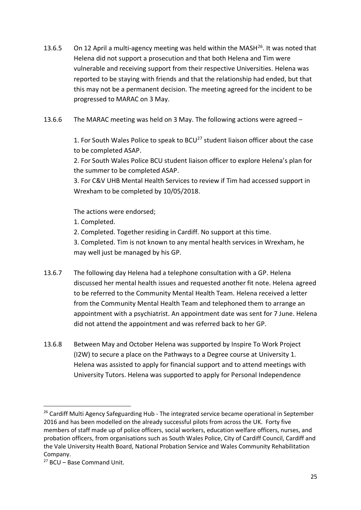- 13.6.5 On 12 April a multi-agency meeting was held within the MASH $^{26}$ . It was noted that Helena did not support a prosecution and that both Helena and Tim were vulnerable and receiving support from their respective Universities. Helena was reported to be staying with friends and that the relationship had ended, but that this may not be a permanent decision. The meeting agreed for the incident to be progressed to MARAC on 3 May.
- 13.6.6 The MARAC meeting was held on 3 May. The following actions were agreed –

1. For South Wales Police to speak to BCU $^{27}$  student liaison officer about the case to be completed ASAP.

2. For South Wales Police BCU student liaison officer to explore Helena's plan for the summer to be completed ASAP.

3. For C&V UHB Mental Health Services to review if Tim had accessed support in Wrexham to be completed by 10/05/2018.

The actions were endorsed;

1. Completed.

2. Completed. Together residing in Cardiff. No support at this time.

3. Completed. Tim is not known to any mental health services in Wrexham, he may well just be managed by his GP.

- 13.6.7 The following day Helena had a telephone consultation with a GP. Helena discussed her mental health issues and requested another fit note. Helena agreed to be referred to the Community Mental Health Team. Helena received a letter from the Community Mental Health Team and telephoned them to arrange an appointment with a psychiatrist. An appointment date was sent for 7 June. Helena did not attend the appointment and was referred back to her GP.
- 13.6.8 Between May and October Helena was supported by Inspire To Work Project (I2W) to secure a place on the Pathways to a Degree course at University 1. Helena was assisted to apply for financial support and to attend meetings with University Tutors. Helena was supported to apply for Personal Independence

<sup>&</sup>lt;sup>26</sup> Cardiff Multi Agency Safeguarding Hub - The integrated service became operational in September 2016 and has been modelled on the already successful pilots from across the UK. Forty five members of staff made up of police officers, social workers, education welfare officers, nurses, and probation officers, from organisations such as South Wales Police, City of Cardiff Council, Cardiff and the Vale University Health Board, National Probation Service and Wales Community Rehabilitation Company.

 $27$  BCU – Base Command Unit.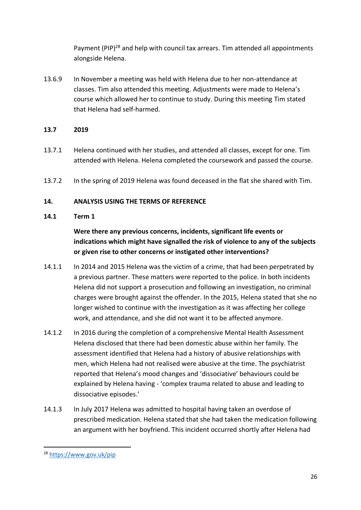Payment (PIP)<sup>28</sup> and help with council tax arrears. Tim attended all appointments alongside Helena.

13.6.9 In November a meeting was held with Helena due to her non-attendance at classes. Tim also attended this meeting. Adjustments were made to Helena's course which allowed her to continue to study. During this meeting Tim stated that Helena had self-harmed.

## **13.7 2019**

- 13.7.1 Helena continued with her studies, and attended all classes, except for one. Tim attended with Helena. Helena completed the coursework and passed the course.
- 13.7.2 In the spring of 2019 Helena was found deceased in the flat she shared with Tim.

## **14. ANALYSIS USING THE TERMS OF REFERENCE**

## **14.1 Term 1**

**Were there any previous concerns, incidents, significant life events or indications which might have signalled the risk of violence to any of the subjects or given rise to other concerns or instigated other interventions?**

- 14.1.1 In 2014 and 2015 Helena was the victim of a crime, that had been perpetrated by a previous partner. These matters were reported to the police. In both incidents Helena did not support a prosecution and following an investigation, no criminal charges were brought against the offender. In the 2015, Helena stated that she no longer wished to continue with the investigation as it was affecting her college work, and attendance, and she did not want it to be affected anymore.
- 14.1.2 In 2016 during the completion of a comprehensive Mental Health Assessment Helena disclosed that there had been domestic abuse within her family. The assessment identified that Helena had a history of abusive relationships with men, which Helena had not realised were abusive at the time. The psychiatrist reported that Helena's mood changes and 'dissociative' behaviours could be explained by Helena having - 'complex trauma related to abuse and leading to dissociative episodes.'
- 14.1.3 In July 2017 Helena was admitted to hospital having taken an overdose of prescribed medication. Helena stated that she had taken the medication following an argument with her boyfriend. This incident occurred shortly after Helena had

<sup>28</sup> <https://www.gov.uk/pip>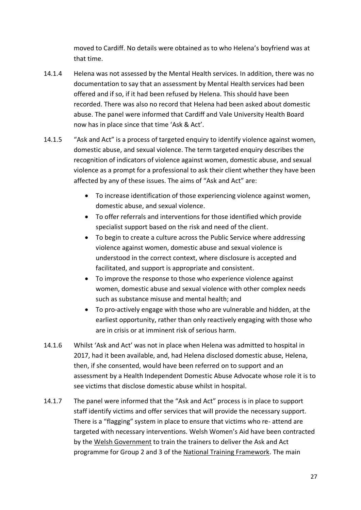moved to Cardiff. No details were obtained as to who Helena's boyfriend was at that time.

- 14.1.4 Helena was not assessed by the Mental Health services. In addition, there was no documentation to say that an assessment by Mental Health services had been offered and if so, if it had been refused by Helena. This should have been recorded. There was also no record that Helena had been asked about domestic abuse. The panel were informed that Cardiff and Vale University Health Board now has in place since that time 'Ask & Act'.
- 14.1.5 "Ask and Act" is a process of targeted enquiry to identify violence against women, domestic abuse, and sexual violence. The term targeted enquiry describes the recognition of indicators of violence against women, domestic abuse, and sexual violence as a prompt for a professional to ask their client whether they have been affected by any of these issues. The aims of "Ask and Act" are:
	- To increase identification of those experiencing violence against women, domestic abuse, and sexual violence.
	- To offer referrals and interventions for those identified which provide specialist support based on the risk and need of the client.
	- To begin to create a culture across the Public Service where addressing violence against women, domestic abuse and sexual violence is understood in the correct context, where disclosure is accepted and facilitated, and support is appropriate and consistent.
	- To improve the response to those who experience violence against women, domestic abuse and sexual violence with other complex needs such as substance misuse and mental health; and
	- To pro-actively engage with those who are vulnerable and hidden, at the earliest opportunity, rather than only reactively engaging with those who are in crisis or at imminent risk of serious harm.
- 14.1.6 Whilst 'Ask and Act' was not in place when Helena was admitted to hospital in 2017, had it been available, and, had Helena disclosed domestic abuse, Helena, then, if she consented, would have been referred on to support and an assessment by a Health Independent Domestic Abuse Advocate whose role it is to see victims that disclose domestic abuse whilst in hospital.
- 14.1.7 The panel were informed that the "Ask and Act" process is in place to support staff identify victims and offer services that will provide the necessary support. There is a "flagging" system in place to ensure that victims who re- attend are targeted with necessary interventions. Welsh Women's Aid have been contracted by the [Welsh Government](http://gov.wales/?lang=en) to train the trainers to deliver the Ask and Act programme for Group 2 and 3 of the [National Training Framework.](http://gov.wales/topics/people-and-communities/communities/safety/domesticabuse/publications/national-training-framework/?lang=en.) The main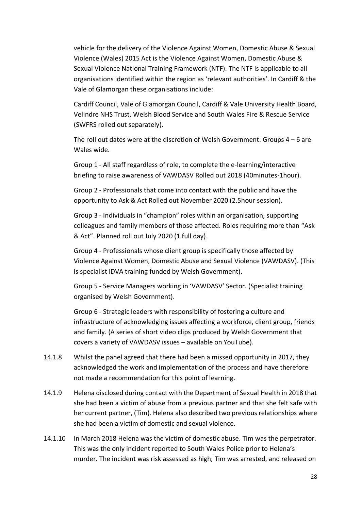vehicle for the delivery of the Violence Against Women, Domestic Abuse & Sexual Violence (Wales) 2015 Act is the Violence Against Women, Domestic Abuse & Sexual Violence National Training Framework (NTF). The NTF is applicable to all organisations identified within the region as 'relevant authorities'. In Cardiff & the Vale of Glamorgan these organisations include:

Cardiff Council, Vale of Glamorgan Council, Cardiff & Vale University Health Board, Velindre NHS Trust, Welsh Blood Service and South Wales Fire & Rescue Service (SWFRS rolled out separately).

The roll out dates were at the discretion of Welsh Government. Groups  $4 - 6$  are Wales wide.

Group 1 - All staff regardless of role, to complete the e-learning/interactive briefing to raise awareness of VAWDASV Rolled out 2018 (40minutes-1hour).

Group 2 - Professionals that come into contact with the public and have the opportunity to Ask & Act Rolled out November 2020 (2.5hour session).

Group 3 - Individuals in "champion" roles within an organisation, supporting colleagues and family members of those affected. Roles requiring more than "Ask & Act". Planned roll out July 2020 (1 full day).

Group 4 - Professionals whose client group is specifically those affected by Violence Against Women, Domestic Abuse and Sexual Violence (VAWDASV). (This is specialist IDVA training funded by Welsh Government).

Group 5 - Service Managers working in 'VAWDASV' Sector. (Specialist training organised by Welsh Government).

Group 6 - Strategic leaders with responsibility of fostering a culture and infrastructure of acknowledging issues affecting a workforce, client group, friends and family. (A series of short video clips produced by Welsh Government that covers a variety of VAWDASV issues – available on YouTube).

- 14.1.8 Whilst the panel agreed that there had been a missed opportunity in 2017, they acknowledged the work and implementation of the process and have therefore not made a recommendation for this point of learning.
- 14.1.9 Helena disclosed during contact with the Department of Sexual Health in 2018 that she had been a victim of abuse from a previous partner and that she felt safe with her current partner, (Tim). Helena also described two previous relationships where she had been a victim of domestic and sexual violence.
- 14.1.10 In March 2018 Helena was the victim of domestic abuse. Tim was the perpetrator. This was the only incident reported to South Wales Police prior to Helena's murder. The incident was risk assessed as high, Tim was arrested, and released on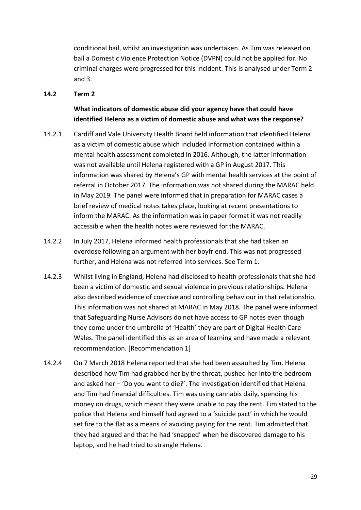conditional bail, whilst an investigation was undertaken. As Tim was released on bail a Domestic Violence Protection Notice (DVPN) could not be applied for. No criminal charges were progressed for this incident. This is analysed under Term 2 and 3.

### **14.2 Term 2**

# **What indicators of domestic abuse did your agency have that could have identified Helena as a victim of domestic abuse and what was the response?**

- 14.2.1 Cardiff and Vale University Health Board held information that identified Helena as a victim of domestic abuse which included information contained within a mental health assessment completed in 2016. Although, the latter information was not available until Helena registered with a GP in August 2017. This information was shared by Helena's GP with mental health services at the point of referral in October 2017. The information was not shared during the MARAC held in May 2019. The panel were informed that in preparation for MARAC cases a brief review of medical notes takes place, looking at recent presentations to inform the MARAC. As the information was in paper format it was not readily accessible when the health notes were reviewed for the MARAC.
- 14.2.2 In July 2017, Helena informed health professionals that she had taken an overdose following an argument with her boyfriend. This was not progressed further, and Helena was not referred into services. See Term 1.
- 14.2.3 Whilst living in England, Helena had disclosed to health professionals that she had been a victim of domestic and sexual violence in previous relationships. Helena also described evidence of coercive and controlling behaviour in that relationship. This information was not shared at MARAC in May 2018. The panel were informed that Safeguarding Nurse Advisors do not have access to GP notes even though they come under the umbrella of 'Health' they are part of Digital Health Care Wales. The panel identified this as an area of learning and have made a relevant recommendation. [Recommendation 1]
- 14.2.4 On 7 March 2018 Helena reported that she had been assaulted by Tim. Helena described how Tim had grabbed her by the throat, pushed her into the bedroom and asked her – 'Do you want to die?'. The investigation identified that Helena and Tim had financial difficulties. Tim was using cannabis daily, spending his money on drugs, which meant they were unable to pay the rent. Tim stated to the police that Helena and himself had agreed to a 'suicide pact' in which he would set fire to the flat as a means of avoiding paying for the rent. Tim admitted that they had argued and that he had 'snapped' when he discovered damage to his laptop, and he had tried to strangle Helena.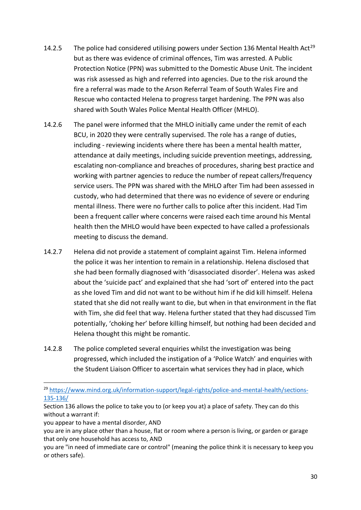- 14.2.5 The police had considered utilising powers under Section 136 Mental Health Act<sup>29</sup> but as there was evidence of criminal offences, Tim was arrested. A Public Protection Notice (PPN) was submitted to the Domestic Abuse Unit. The incident was risk assessed as high and referred into agencies. Due to the risk around the fire a referral was made to the Arson Referral Team of South Wales Fire and Rescue who contacted Helena to progress target hardening. The PPN was also shared with South Wales Police Mental Health Officer (MHLO).
- 14.2.6 The panel were informed that the MHLO initially came under the remit of each BCU, in 2020 they were centrally supervised. The role has a range of duties, including - reviewing incidents where there has been a mental health matter, attendance at daily meetings, including suicide prevention meetings, addressing, escalating non-compliance and breaches of procedures, sharing best practice and working with partner agencies to reduce the number of repeat callers/frequency service users. The PPN was shared with the MHLO after Tim had been assessed in custody, who had determined that there was no evidence of severe or enduring mental illness. There were no further calls to police after this incident. Had Tim been a frequent caller where concerns were raised each time around his Mental health then the MHLO would have been expected to have called a professionals meeting to discuss the demand.
- 14.2.7 Helena did not provide a statement of complaint against Tim. Helena informed the police it was her intention to remain in a relationship. Helena disclosed that she had been formally diagnosed with 'disassociated disorder'. Helena was asked about the 'suicide pact' and explained that she had 'sort of' entered into the pact as she loved Tim and did not want to be without him if he did kill himself. Helena stated that she did not really want to die, but when in that environment in the flat with Tim, she did feel that way. Helena further stated that they had discussed Tim potentially, 'choking her' before killing himself, but nothing had been decided and Helena thought this might be romantic.
- 14.2.8 The police completed several enquiries whilst the investigation was being progressed, which included the instigation of a 'Police Watch' and enquiries with the Student Liaison Officer to ascertain what services they had in place, which

<sup>&</sup>lt;sup>29</sup> [https://www.mind.org.uk/information-support/legal-rights/police-and-mental-health/sections-](https://www.mind.org.uk/information-support/legal-rights/police-and-mental-health/sections-135-136/)[135-136/](https://www.mind.org.uk/information-support/legal-rights/police-and-mental-health/sections-135-136/)

Section 136 allows the police to take you to (or keep you at) a place of safety. They can do this without a warrant if:

you appear to have a mental disorder, AND

you are in any place other than a house, flat or room where a person is living, or garden or garage that only one household has access to, AND

you are "in need of immediate care or control" (meaning the police think it is necessary to keep you or others safe).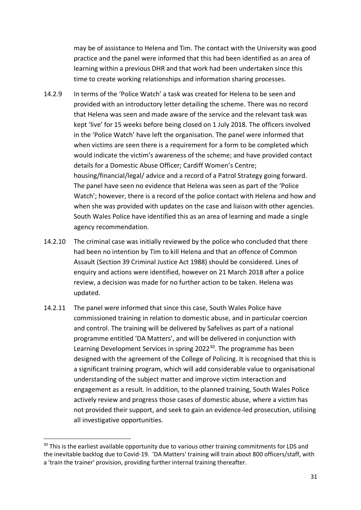may be of assistance to Helena and Tim. The contact with the University was good practice and the panel were informed that this had been identified as an area of learning within a previous DHR and that work had been undertaken since this time to create working relationships and information sharing processes.

- 14.2.9 In terms of the 'Police Watch' a task was created for Helena to be seen and provided with an introductory letter detailing the scheme. There was no record that Helena was seen and made aware of the service and the relevant task was kept 'live' for 15 weeks before being closed on 1 July 2018. The officers involved in the 'Police Watch' have left the organisation. The panel were informed that when victims are seen there is a requirement for a form to be completed which would indicate the victim's awareness of the scheme; and have provided contact details for a Domestic Abuse Officer; Cardiff Women's Centre; housing/financial/legal/ advice and a record of a Patrol Strategy going forward. The panel have seen no evidence that Helena was seen as part of the 'Police Watch'; however, there is a record of the police contact with Helena and how and when she was provided with updates on the case and liaison with other agencies. South Wales Police have identified this as an area of learning and made a single agency recommendation.
- 14.2.10 The criminal case was initially reviewed by the police who concluded that there had been no intention by Tim to kill Helena and that an offence of Common Assault (Section 39 Criminal Justice Act 1988) should be considered. Lines of enquiry and actions were identified, however on 21 March 2018 after a police review, a decision was made for no further action to be taken. Helena was updated.
- 14.2.11 The panel were informed that since this case, South Wales Police have commissioned training in relation to domestic abuse, and in particular coercion and control. The training will be delivered by Safelives as part of a national programme entitled 'DA Matters', and will be delivered in conjunction with Learning Development Services in spring 2022<sup>30</sup>. The programme has been designed with the agreement of the College of Policing. It is recognised that this is a significant training program, which will add considerable value to organisational understanding of the subject matter and improve victim interaction and engagement as a result. In addition, to the planned training, South Wales Police actively review and progress those cases of domestic abuse, where a victim has not provided their support, and seek to gain an evidence-led prosecution, utilising all investigative opportunities.

<sup>&</sup>lt;sup>30</sup> This is the earliest available opportunity due to various other training commitments for LDS and the inevitable backlog due to Covid-19. 'DA Matters' training will train about 800 officers/staff, with a 'train the trainer' provision, providing further internal training thereafter.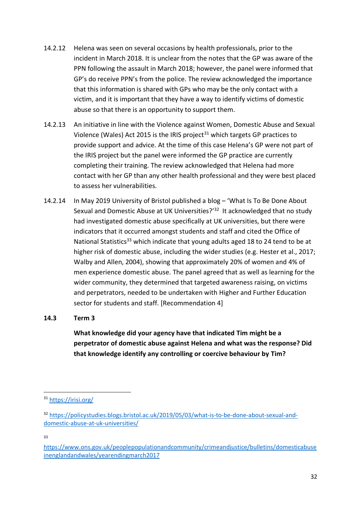- 14.2.12 Helena was seen on several occasions by health professionals, prior to the incident in March 2018. It is unclear from the notes that the GP was aware of the PPN following the assault in March 2018; however, the panel were informed that GP's do receive PPN's from the police. The review acknowledged the importance that this information is shared with GPs who may be the only contact with a victim, and it is important that they have a way to identify victims of domestic abuse so that there is an opportunity to support them.
- 14.2.13 An initiative in line with the Violence against Women, Domestic Abuse and Sexual Violence (Wales) Act 2015 is the IRIS project<sup>31</sup> which targets GP practices to provide support and advice. At the time of this case Helena's GP were not part of the IRIS project but the panel were informed the GP practice are currently completing their training. The review acknowledged that Helena had more contact with her GP than any other health professional and they were best placed to assess her vulnerabilities.
- 14.2.14 In May 2019 University of Bristol published a blog 'What Is To Be Done About Sexual and Domestic Abuse at UK Universities?'<sup>32</sup> It acknowledged that no study had investigated domestic abuse specifically at UK universities, but there were indicators that it occurred amongst students and staff and cited the Office of National Statistics<sup>33</sup> which indicate that young adults aged 18 to 24 tend to be at higher risk of domestic abuse, including the wider studies (e.g. Hester et al., 2017; Walby and Allen, 2004), showing that approximately 20% of women and 4% of men experience domestic abuse. The panel agreed that as well as learning for the wider community, they determined that targeted awareness raising, on victims and perpetrators, needed to be undertaken with Higher and Further Education sector for students and staff. [Recommendation 4]

## **14.3 Term 3**

**What knowledge did your agency have that indicated Tim might be a perpetrator of domestic abuse against Helena and what was the response? Did that knowledge identify any controlling or coercive behaviour by Tim?**

<sup>31</sup> <https://irisi.org/>

<sup>32</sup> [https://policystudies.blogs.bristol.ac.uk/2019/05/03/what-is-to-be-done-about-sexual-and](https://policystudies.blogs.bristol.ac.uk/2019/05/03/what-is-to-be-done-about-sexual-and-domestic-abuse-at-uk-universities/)[domestic-abuse-at-uk-universities/](https://policystudies.blogs.bristol.ac.uk/2019/05/03/what-is-to-be-done-about-sexual-and-domestic-abuse-at-uk-universities/)

<sup>33</sup>

[https://www.ons.gov.uk/peoplepopulationandcommunity/crimeandjustice/bulletins/domesticabuse](https://www.ons.gov.uk/peoplepopulationandcommunity/crimeandjustice/bulletins/domesticabuseinenglandandwales/yearendingmarch2017) [inenglandandwales/yearendingmarch2017](https://www.ons.gov.uk/peoplepopulationandcommunity/crimeandjustice/bulletins/domesticabuseinenglandandwales/yearendingmarch2017)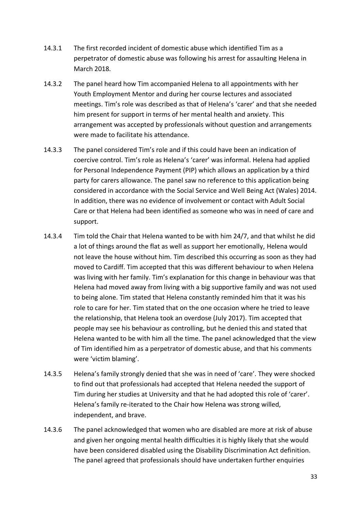- 14.3.1 The first recorded incident of domestic abuse which identified Tim as a perpetrator of domestic abuse was following his arrest for assaulting Helena in March 2018.
- 14.3.2 The panel heard how Tim accompanied Helena to all appointments with her Youth Employment Mentor and during her course lectures and associated meetings. Tim's role was described as that of Helena's 'carer' and that she needed him present for support in terms of her mental health and anxiety. This arrangement was accepted by professionals without question and arrangements were made to facilitate his attendance.
- 14.3.3 The panel considered Tim's role and if this could have been an indication of coercive control. Tim's role as Helena's 'carer' was informal. Helena had applied for Personal Independence Payment (PIP) which allows an application by a third party for carers allowance. The panel saw no reference to this application being considered in accordance with the Social Service and Well Being Act (Wales) 2014. In addition, there was no evidence of involvement or contact with Adult Social Care or that Helena had been identified as someone who was in need of care and support.
- 14.3.4 Tim told the Chair that Helena wanted to be with him 24/7, and that whilst he did a lot of things around the flat as well as support her emotionally, Helena would not leave the house without him. Tim described this occurring as soon as they had moved to Cardiff. Tim accepted that this was different behaviour to when Helena was living with her family. Tim's explanation for this change in behaviour was that Helena had moved away from living with a big supportive family and was not used to being alone. Tim stated that Helena constantly reminded him that it was his role to care for her. Tim stated that on the one occasion where he tried to leave the relationship, that Helena took an overdose (July 2017). Tim accepted that people may see his behaviour as controlling, but he denied this and stated that Helena wanted to be with him all the time. The panel acknowledged that the view of Tim identified him as a perpetrator of domestic abuse, and that his comments were 'victim blaming'.
- 14.3.5 Helena's family strongly denied that she was in need of 'care'. They were shocked to find out that professionals had accepted that Helena needed the support of Tim during her studies at University and that he had adopted this role of 'carer'. Helena's family re-iterated to the Chair how Helena was strong willed, independent, and brave.
- 14.3.6 The panel acknowledged that women who are disabled are more at risk of abuse and given her ongoing mental health difficulties it is highly likely that she would have been considered disabled using the Disability Discrimination Act definition. The panel agreed that professionals should have undertaken further enquiries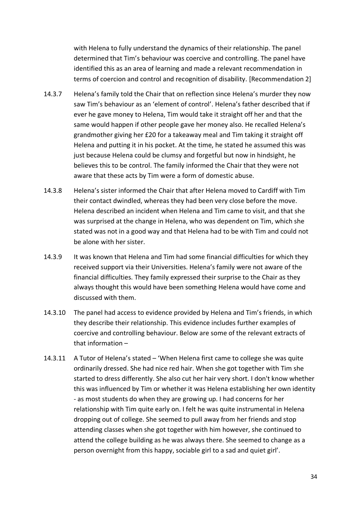with Helena to fully understand the dynamics of their relationship. The panel determined that Tim's behaviour was coercive and controlling. The panel have identified this as an area of learning and made a relevant recommendation in terms of coercion and control and recognition of disability. [Recommendation 2]

- 14.3.7 Helena's family told the Chair that on reflection since Helena's murder they now saw Tim's behaviour as an 'element of control'. Helena's father described that if ever he gave money to Helena, Tim would take it straight off her and that the same would happen if other people gave her money also. He recalled Helena's grandmother giving her £20 for a takeaway meal and Tim taking it straight off Helena and putting it in his pocket. At the time, he stated he assumed this was just because Helena could be clumsy and forgetful but now in hindsight, he believes this to be control. The family informed the Chair that they were not aware that these acts by Tim were a form of domestic abuse.
- 14.3.8 Helena's sister informed the Chair that after Helena moved to Cardiff with Tim their contact dwindled, whereas they had been very close before the move. Helena described an incident when Helena and Tim came to visit, and that she was surprised at the change in Helena, who was dependent on Tim, which she stated was not in a good way and that Helena had to be with Tim and could not be alone with her sister.
- 14.3.9 It was known that Helena and Tim had some financial difficulties for which they received support via their Universities. Helena's family were not aware of the financial difficulties. They family expressed their surprise to the Chair as they always thought this would have been something Helena would have come and discussed with them.
- 14.3.10 The panel had access to evidence provided by Helena and Tim's friends, in which they describe their relationship. This evidence includes further examples of coercive and controlling behaviour. Below are some of the relevant extracts of that information –
- 14.3.11 A Tutor of Helena's stated 'When Helena first came to college she was quite ordinarily dressed. She had nice red hair. When she got together with Tim she started to dress differently. She also cut her hair very short. I don't know whether this was influenced by Tim or whether it was Helena establishing her own identity - as most students do when they are growing up. I had concerns for her relationship with Tim quite early on. I felt he was quite instrumental in Helena dropping out of college. She seemed to pull away from her friends and stop attending classes when she got together with him however, she continued to attend the college building as he was always there. She seemed to change as a person overnight from this happy, sociable girl to a sad and quiet girl'.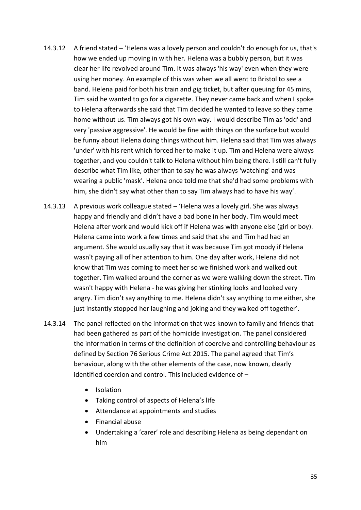- 14.3.12 A friend stated 'Helena was a lovely person and couldn't do enough for us, that's how we ended up moving in with her. Helena was a bubbly person, but it was clear her life revolved around Tim. It was always 'his way' even when they were using her money. An example of this was when we all went to Bristol to see a band. Helena paid for both his train and gig ticket, but after queuing for 45 mins, Tim said he wanted to go for a cigarette. They never came back and when I spoke to Helena afterwards she said that Tim decided he wanted to leave so they came home without us. Tim always got his own way. I would describe Tim as 'odd' and very 'passive aggressive'. He would be fine with things on the surface but would be funny about Helena doing things without him. Helena said that Tim was always 'under' with his rent which forced her to make it up. Tim and Helena were always together, and you couldn't talk to Helena without him being there. I still can't fully describe what Tim like, other than to say he was always 'watching' and was wearing a public 'mask'. Helena once told me that she'd had some problems with him, she didn't say what other than to say Tim always had to have his way'.
- 14.3.13 A previous work colleague stated 'Helena was a lovely girl. She was always happy and friendly and didn't have a bad bone in her body. Tim would meet Helena after work and would kick off if Helena was with anyone else (girl or boy). Helena came into work a few times and said that she and Tim had had an argument. She would usually say that it was because Tim got moody if Helena wasn't paying all of her attention to him. One day after work, Helena did not know that Tim was coming to meet her so we finished work and walked out together. Tim walked around the corner as we were walking down the street. Tim wasn't happy with Helena - he was giving her stinking looks and looked very angry. Tim didn't say anything to me. Helena didn't say anything to me either, she just instantly stopped her laughing and joking and they walked off together'.
- 14.3.14 The panel reflected on the information that was known to family and friends that had been gathered as part of the homicide investigation. The panel considered the information in terms of the definition of coercive and controlling behaviour as defined by Section 76 Serious Crime Act 2015. The panel agreed that Tim's behaviour, along with the other elements of the case, now known, clearly identified coercion and control. This included evidence of –
	- Isolation
	- Taking control of aspects of Helena's life
	- Attendance at appointments and studies
	- Financial abuse
	- Undertaking a 'carer' role and describing Helena as being dependant on him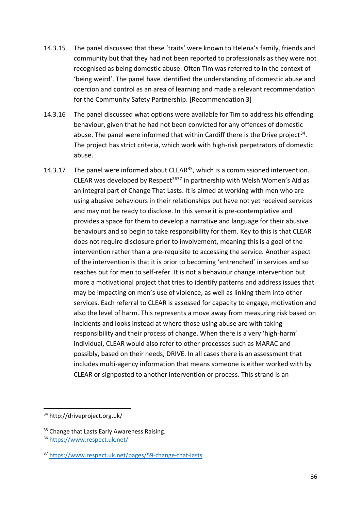- 14.3.15 The panel discussed that these 'traits' were known to Helena's family, friends and community but that they had not been reported to professionals as they were not recognised as being domestic abuse. Often Tim was referred to in the context of 'being weird'. The panel have identified the understanding of domestic abuse and coercion and control as an area of learning and made a relevant recommendation for the Community Safety Partnership. [Recommendation 3]
- 14.3.16 The panel discussed what options were available for Tim to address his offending behaviour, given that he had not been convicted for any offences of domestic abuse. The panel were informed that within Cardiff there is the Drive project<sup>34</sup>. The project has strict criteria, which work with high-risk perpetrators of domestic abuse.
- 14.3.17 The panel were informed about CLEAR<sup>35</sup>, which is a commissioned intervention. CLEAR was developed by Respect<sup>3637</sup> in partnership with Welsh Women's Aid as an integral part of Change That Lasts. It is aimed at working with men who are using abusive behaviours in their relationships but have not yet received services and may not be ready to disclose. In this sense it is pre-contemplative and provides a space for them to develop a narrative and language for their abusive behaviours and so begin to take responsibility for them. Key to this is that CLEAR does not require disclosure prior to involvement, meaning this is a goal of the intervention rather than a pre-requisite to accessing the service. Another aspect of the intervention is that it is prior to becoming 'entrenched' in services and so reaches out for men to self-refer. It is not a behaviour change intervention but more a motivational project that tries to identify patterns and address issues that may be impacting on men's use of violence, as well as linking them into other services. Each referral to CLEAR is assessed for capacity to engage, motivation and also the level of harm. This represents a move away from measuring risk based on incidents and looks instead at where those using abuse are with taking responsibility and their process of change. When there is a very 'high-harm' individual, CLEAR would also refer to other processes such as MARAC and possibly, based on their needs, DRIVE. In all cases there is an assessment that includes multi-agency information that means someone is either worked with by CLEAR or signposted to another intervention or process. This strand is an

<sup>34</sup> <http://driveproject.org.uk/>

<sup>&</sup>lt;sup>35</sup> Change that Lasts Early Awareness Raising.

<sup>36</sup> <https://www.respect.uk.net/>

<sup>37</sup> <https://www.respect.uk.net/pages/59-change-that-lasts>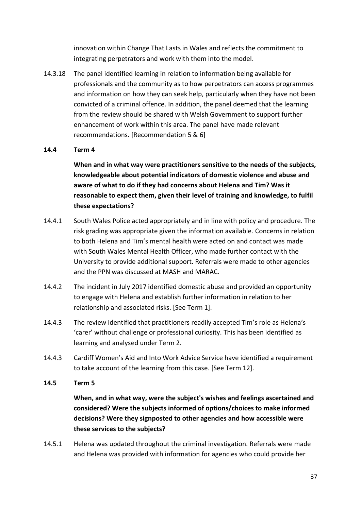innovation within Change That Lasts in Wales and reflects the commitment to integrating perpetrators and work with them into the model.

14.3.18 The panel identified learning in relation to information being available for professionals and the community as to how perpetrators can access programmes and information on how they can seek help, particularly when they have not been convicted of a criminal offence. In addition, the panel deemed that the learning from the review should be shared with Welsh Government to support further enhancement of work within this area. The panel have made relevant recommendations. [Recommendation 5 & 6]

### **14.4 Term 4**

**When and in what way were practitioners sensitive to the needs of the subjects, knowledgeable about potential indicators of domestic violence and abuse and aware of what to do if they had concerns about Helena and Tim? Was it reasonable to expect them, given their level of training and knowledge, to fulfil these expectations?**

- 14.4.1 South Wales Police acted appropriately and in line with policy and procedure. The risk grading was appropriate given the information available. Concerns in relation to both Helena and Tim's mental health were acted on and contact was made with South Wales Mental Health Officer, who made further contact with the University to provide additional support. Referrals were made to other agencies and the PPN was discussed at MASH and MARAC.
- 14.4.2 The incident in July 2017 identified domestic abuse and provided an opportunity to engage with Helena and establish further information in relation to her relationship and associated risks. [See Term 1].
- 14.4.3 The review identified that practitioners readily accepted Tim's role as Helena's 'carer' without challenge or professional curiosity. This has been identified as learning and analysed under Term 2.
- 14.4.3 Cardiff Women's Aid and Into Work Advice Service have identified a requirement to take account of the learning from this case. [See Term 12].

#### **14.5 Term 5**

**When, and in what way, were the subject's wishes and feelings ascertained and considered? Were the subjects informed of options/choices to make informed decisions? Were they signposted to other agencies and how accessible were these services to the subjects?**

14.5.1 Helena was updated throughout the criminal investigation. Referrals were made and Helena was provided with information for agencies who could provide her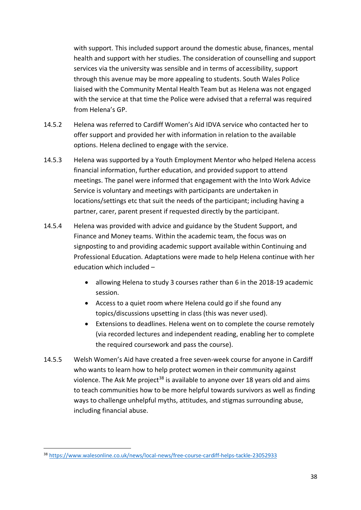with support. This included support around the domestic abuse, finances, mental health and support with her studies. The consideration of counselling and support services via the university was sensible and in terms of accessibility, support through this avenue may be more appealing to students. South Wales Police liaised with the Community Mental Health Team but as Helena was not engaged with the service at that time the Police were advised that a referral was required from Helena's GP.

- 14.5.2 Helena was referred to Cardiff Women's Aid IDVA service who contacted her to offer support and provided her with information in relation to the available options. Helena declined to engage with the service.
- 14.5.3 Helena was supported by a Youth Employment Mentor who helped Helena access financial information, further education, and provided support to attend meetings. The panel were informed that engagement with the Into Work Advice Service is voluntary and meetings with participants are undertaken in locations/settings etc that suit the needs of the participant; including having a partner, carer, parent present if requested directly by the participant.
- 14.5.4 Helena was provided with advice and guidance by the Student Support, and Finance and Money teams. Within the academic team, the focus was on signposting to and providing academic support available within Continuing and Professional Education. Adaptations were made to help Helena continue with her education which included –
	- allowing Helena to study 3 courses rather than 6 in the 2018-19 academic session.
	- Access to a quiet room where Helena could go if she found any topics/discussions upsetting in class (this was never used).
	- Extensions to deadlines. Helena went on to complete the course remotely (via recorded lectures and independent reading, enabling her to complete the required coursework and pass the course).
- 14.5.5 Welsh Women's Aid have created a free seven-week course for anyone in Cardiff who wants to learn how to help protect women in their community against violence. The Ask Me project<sup>38</sup> is available to anyone over 18 years old and aims to teach communities how to be more helpful towards survivors as well as finding ways to challenge unhelpful myths, attitudes, and stigmas surrounding abuse, including financial abuse.

<sup>38</sup> <https://www.walesonline.co.uk/news/local-news/free-course-cardiff-helps-tackle-23052933>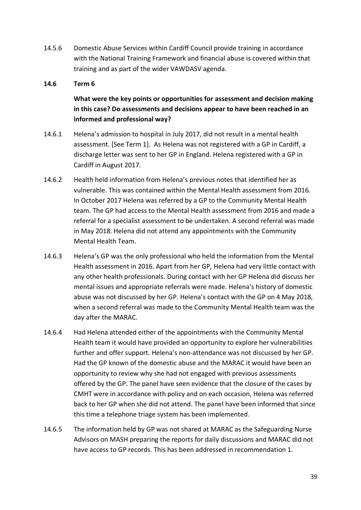14.5.6 Domestic Abuse Services within Cardiff Council provide training in accordance with the National Training Framework and financial abuse is covered within that training and as part of the wider VAWDASV agenda.

## **14.6 Term 6**

**What were the key points or opportunities for assessment and decision making in this case? Do assessments and decisions appear to have been reached in an informed and professional way?** 

- 14.6.1 Helena's admission to hospital in July 2017, did not result in a mental health assessment. [See Term 1]. As Helena was not registered with a GP in Cardiff, a discharge letter was sent to her GP in England. Helena registered with a GP in Cardiff in August 2017.
- 14.6.2 Health held information from Helena's previous notes that identified her as vulnerable. This was contained within the Mental Health assessment from 2016. In October 2017 Helena was referred by a GP to the Community Mental Health team. The GP had access to the Mental Health assessment from 2016 and made a referral for a specialist assessment to be undertaken. A second referral was made in May 2018. Helena did not attend any appointments with the Community Mental Health Team.
- 14.6.3 Helena's GP was the only professional who held the information from the Mental Health assessment in 2016. Apart from her GP, Helena had very little contact with any other health professionals. During contact with her GP Helena did discuss her mental issues and appropriate referrals were made. Helena's history of domestic abuse was not discussed by her GP. Helena's contact with the GP on 4 May 2018, when a second referral was made to the Community Mental Health team was the day after the MARAC.
- 14.6.4 Had Helena attended either of the appointments with the Community Mental Health team it would have provided an opportunity to explore her vulnerabilities further and offer support. Helena's non-attendance was not discussed by her GP. Had the GP known of the domestic abuse and the MARAC it would have been an opportunity to review why she had not engaged with previous assessments offered by the GP. The panel have seen evidence that the closure of the cases by CMHT were in accordance with policy and on each occasion, Helena was referred back to her GP when she did not attend. The panel have been informed that since this time a telephone triage system has been implemented.
- 14.6.5 The information held by GP was not shared at MARAC as the Safeguarding Nurse Advisors on MASH preparing the reports for daily discussions and MARAC did not have access to GP records. This has been addressed in recommendation 1.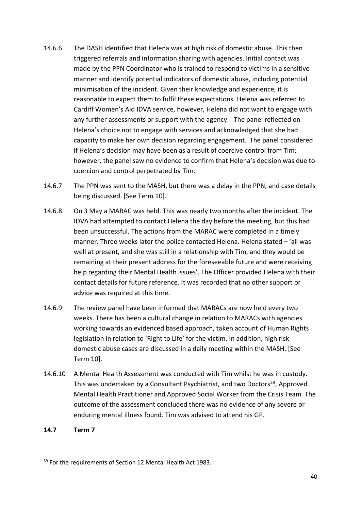- 14.6.6 The DASH identified that Helena was at high risk of domestic abuse. This then triggered referrals and information sharing with agencies. Initial contact was made by the PPN Coordinator who is trained to respond to victims in a sensitive manner and identify potential indicators of domestic abuse, including potential minimisation of the incident. Given their knowledge and experience, it is reasonable to expect them to fulfil these expectations. Helena was referred to Cardiff Women's Aid IDVA service, however, Helena did not want to engage with any further assessments or support with the agency. The panel reflected on Helena's choice not to engage with services and acknowledged that she had capacity to make her own decision regarding engagement. The panel considered if Helena's decision may have been as a result of coercive control from Tim; however, the panel saw no evidence to confirm that Helena's decision was due to coercion and control perpetrated by Tim.
- 14.6.7 The PPN was sent to the MASH, but there was a delay in the PPN, and case details being discussed. [See Term 10].
- 14.6.8 On 3 May a MARAC was held. This was nearly two months after the incident. The IDVA had attempted to contact Helena the day before the meeting, but this had been unsuccessful. The actions from the MARAC were completed in a timely manner. Three weeks later the police contacted Helena. Helena stated – 'all was well at present, and she was still in a relationship with Tim, and they would be remaining at their present address for the foreseeable future and were receiving help regarding their Mental Health issues'. The Officer provided Helena with their contact details for future reference. It was recorded that no other support or advice was required at this time.
- 14.6.9 The review panel have been informed that MARACs are now held every two weeks. There has been a cultural change in relation to MARACs with agencies working towards an evidenced based approach, taken account of Human Rights legislation in relation to 'Right to Life' for the victim. In addition, high risk domestic abuse cases are discussed in a daily meeting within the MASH. [See Term 10].
- 14.6.10 A Mental Health Assessment was conducted with Tim whilst he was in custody. This was undertaken by a Consultant Psychiatrist, and two Doctors<sup>39</sup>, Approved Mental Health Practitioner and Approved Social Worker from the Crisis Team. The outcome of the assessment concluded there was no evidence of any severe or enduring mental illness found. Tim was advised to attend his GP.
- **14.7 Term 7**

<sup>&</sup>lt;sup>39</sup> For the requirements of Section 12 Mental Health Act 1983.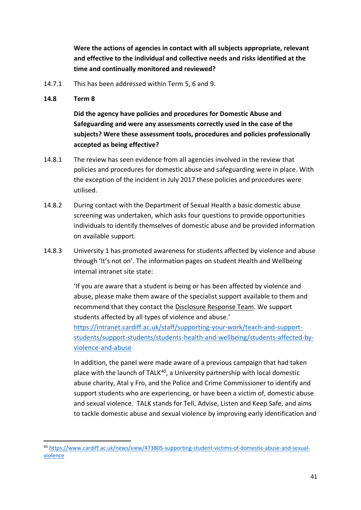**Were the actions of agencies in contact with all subjects appropriate, relevant and effective to the individual and collective needs and risks identified at the time and continually monitored and reviewed?**

- 14.7.1 This has been addressed within Term 5, 6 and 9.
- **14.8 Term 8**

**Did the agency have policies and procedures for Domestic Abuse and Safeguarding and were any assessments correctly used in the case of the subjects? Were these assessment tools, procedures and policies professionally accepted as being effective?** 

- 14.8.1 The review has seen evidence from all agencies involved in the review that policies and procedures for domestic abuse and safeguarding were in place. With the exception of the incident in July 2017 these policies and procedures were utilised.
- 14.8.2 During contact with the Department of Sexual Health a basic domestic abuse screening was undertaken, which asks four questions to provide opportunities individuals to identify themselves of domestic abuse and be provided information on available support.
- 14.8.3 University 1 has promoted awareness for students affected by violence and abuse through 'It's not on'. The information pages on student Health and Wellbeing internal intranet site state:

'If you are aware that a student is being or has been affected by violence and abuse, please make them aware of the specialist support available to them and recommend that they contact the Disclosure Response Team. We support students affected by all types of violence and abuse.'

[https://intranet.cardiff.ac.uk/staff/supporting-your-work/teach-and-support](https://intranet.cardiff.ac.uk/staff/supporting-your-work/teach-and-support-students/support-students/students-health-and-wellbeing/students-affected-by-violence-and-abuse)[students/support-students/students-health-and-wellbeing/students-affected-by](https://intranet.cardiff.ac.uk/staff/supporting-your-work/teach-and-support-students/support-students/students-health-and-wellbeing/students-affected-by-violence-and-abuse)[violence-and-abuse](https://intranet.cardiff.ac.uk/staff/supporting-your-work/teach-and-support-students/support-students/students-health-and-wellbeing/students-affected-by-violence-and-abuse)

In addition, the panel were made aware of a previous campaign that had taken place with the launch of TALK<sup>40</sup>, a University partnership with local domestic abuse charity, Atal y Fro, and the Police and Crime Commissioner to identify and support students who are experiencing, or have been a victim of, domestic abuse and sexual violence. TALK stands for Tell, Advise, Listen and Keep Safe, and aims to tackle domestic abuse and sexual violence by improving early identification and

<sup>40</sup> [https://www.cardiff.ac.uk/news/view/473805-supporting-student-victims-of-domestic-abuse-and-sexual](https://www.cardiff.ac.uk/news/view/473805-supporting-student-victims-of-domestic-abuse-and-sexual-violence)[violence](https://www.cardiff.ac.uk/news/view/473805-supporting-student-victims-of-domestic-abuse-and-sexual-violence)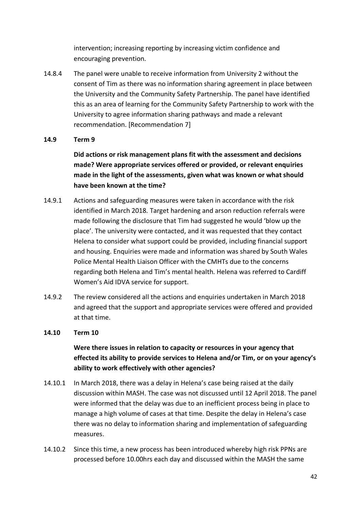intervention; increasing reporting by increasing victim confidence and encouraging prevention.

14.8.4 The panel were unable to receive information from University 2 without the consent of Tim as there was no information sharing agreement in place between the University and the Community Safety Partnership. The panel have identified this as an area of learning for the Community Safety Partnership to work with the University to agree information sharing pathways and made a relevant recommendation. [Recommendation 7]

### **14.9 Term 9**

**Did actions or risk management plans fit with the assessment and decisions made? Were appropriate services offered or provided, or relevant enquiries made in the light of the assessments, given what was known or what should have been known at the time?** 

- 14.9.1 Actions and safeguarding measures were taken in accordance with the risk identified in March 2018. Target hardening and arson reduction referrals were made following the disclosure that Tim had suggested he would 'blow up the place'. The university were contacted, and it was requested that they contact Helena to consider what support could be provided, including financial support and housing. Enquiries were made and information was shared by South Wales Police Mental Health Liaison Officer with the CMHTs due to the concerns regarding both Helena and Tim's mental health. Helena was referred to Cardiff Women's Aid IDVA service for support.
- 14.9.2 The review considered all the actions and enquiries undertaken in March 2018 and agreed that the support and appropriate services were offered and provided at that time.

#### **14.10 Term 10**

# **Were there issues in relation to capacity or resources in your agency that effected its ability to provide services to Helena and/or Tim, or on your agency's ability to work effectively with other agencies?**

- 14.10.1 In March 2018, there was a delay in Helena's case being raised at the daily discussion within MASH. The case was not discussed until 12 April 2018. The panel were informed that the delay was due to an inefficient process being in place to manage a high volume of cases at that time. Despite the delay in Helena's case there was no delay to information sharing and implementation of safeguarding measures.
- 14.10.2 Since this time, a new process has been introduced whereby high risk PPNs are processed before 10.00hrs each day and discussed within the MASH the same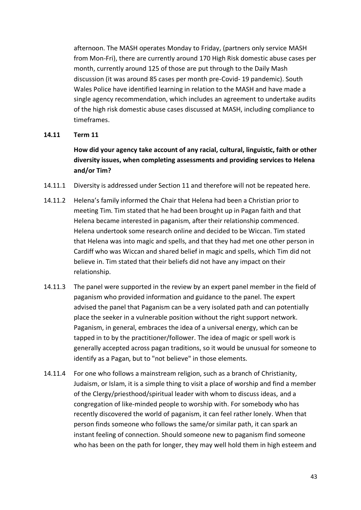afternoon. The MASH operates Monday to Friday, (partners only service MASH from Mon-Fri), there are currently around 170 High Risk domestic abuse cases per month, currently around 125 of those are put through to the Daily Mash discussion (it was around 85 cases per month pre-Covid- 19 pandemic). South Wales Police have identified learning in relation to the MASH and have made a single agency recommendation, which includes an agreement to undertake audits of the high risk domestic abuse cases discussed at MASH, including compliance to timeframes.

### **14.11 Term 11**

**How did your agency take account of any racial, cultural, linguistic, faith or other diversity issues, when completing assessments and providing services to Helena and/or Tim?**

- 14.11.1 Diversity is addressed under Section 11 and therefore will not be repeated here.
- 14.11.2 Helena's family informed the Chair that Helena had been a Christian prior to meeting Tim. Tim stated that he had been brought up in Pagan faith and that Helena became interested in paganism, after their relationship commenced. Helena undertook some research online and decided to be Wiccan. Tim stated that Helena was into magic and spells, and that they had met one other person in Cardiff who was Wiccan and shared belief in magic and spells, which Tim did not believe in. Tim stated that their beliefs did not have any impact on their relationship.
- 14.11.3 The panel were supported in the review by an expert panel member in the field of paganism who provided information and guidance to the panel. The expert advised the panel that Paganism can be a very isolated path and can potentially place the seeker in a vulnerable position without the right support network. Paganism, in general, embraces the idea of a universal energy, which can be tapped in to by the practitioner/follower. The idea of magic or spell work is generally accepted across pagan traditions, so it would be unusual for someone to identify as a Pagan, but to "not believe" in those elements.
- 14.11.4 For one who follows a mainstream religion, such as a branch of Christianity, Judaism, or Islam, it is a simple thing to visit a place of worship and find a member of the Clergy/priesthood/spiritual leader with whom to discuss ideas, and a congregation of like-minded people to worship with. For somebody who has recently discovered the world of paganism, it can feel rather lonely. When that person finds someone who follows the same/or similar path, it can spark an instant feeling of connection. Should someone new to paganism find someone who has been on the path for longer, they may well hold them in high esteem and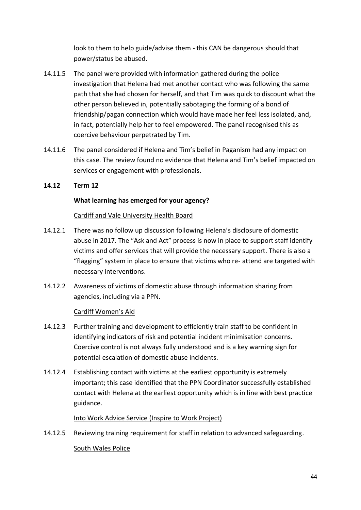look to them to help guide/advise them - this CAN be dangerous should that power/status be abused.

- 14.11.5 The panel were provided with information gathered during the police investigation that Helena had met another contact who was following the same path that she had chosen for herself, and that Tim was quick to discount what the other person believed in, potentially sabotaging the forming of a bond of friendship/pagan connection which would have made her feel less isolated, and, in fact, potentially help her to feel empowered. The panel recognised this as coercive behaviour perpetrated by Tim.
- 14.11.6 The panel considered if Helena and Tim's belief in Paganism had any impact on this case. The review found no evidence that Helena and Tim's belief impacted on services or engagement with professionals.

## **14.12 Term 12**

### **What learning has emerged for your agency?**

#### Cardiff and Vale University Health Board

- 14.12.1 There was no follow up discussion following Helena's disclosure of domestic abuse in 2017. The "Ask and Act" process is now in place to support staff identify victims and offer services that will provide the necessary support. There is also a "flagging" system in place to ensure that victims who re- attend are targeted with necessary interventions.
- 14.12.2 Awareness of victims of domestic abuse through information sharing from agencies, including via a PPN.

#### Cardiff Women's Aid

- 14.12.3 Further training and development to efficiently train staff to be confident in identifying indicators of risk and potential incident minimisation concerns. Coercive control is not always fully understood and is a key warning sign for potential escalation of domestic abuse incidents.
- 14.12.4 Establishing contact with victims at the earliest opportunity is extremely important; this case identified that the PPN Coordinator successfully established contact with Helena at the earliest opportunity which is in line with best practice guidance.

## Into Work Advice Service (Inspire to Work Project)

14.12.5 Reviewing training requirement for staff in relation to advanced safeguarding.

South Wales Police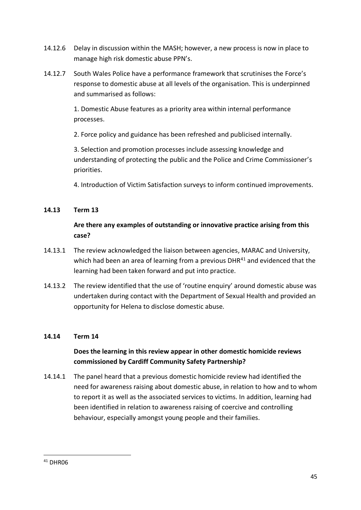- 14.12.6 Delay in discussion within the MASH; however, a new process is now in place to manage high risk domestic abuse PPN's.
- 14.12.7 South Wales Police have a performance framework that scrutinises the Force's response to domestic abuse at all levels of the organisation. This is underpinned and summarised as follows:

1. Domestic Abuse features as a priority area within internal performance processes.

2. Force policy and guidance has been refreshed and publicised internally.

3. Selection and promotion processes include assessing knowledge and understanding of protecting the public and the Police and Crime Commissioner's priorities.

4. Introduction of Victim Satisfaction surveys to inform continued improvements.

## **14.13 Term 13**

# **Are there any examples of outstanding or innovative practice arising from this case?**

- 14.13.1 The review acknowledged the liaison between agencies, MARAC and University, which had been an area of learning from a previous DHR<sup>41</sup> and evidenced that the learning had been taken forward and put into practice.
- 14.13.2 The review identified that the use of 'routine enquiry' around domestic abuse was undertaken during contact with the Department of Sexual Health and provided an opportunity for Helena to disclose domestic abuse.

## **14.14 Term 14**

# **Does the learning in this review appear in other domestic homicide reviews commissioned by Cardiff Community Safety Partnership?**

14.14.1 The panel heard that a previous domestic homicide review had identified the need for awareness raising about domestic abuse, in relation to how and to whom to report it as well as the associated services to victims. In addition, learning had been identified in relation to awareness raising of coercive and controlling behaviour, especially amongst young people and their families.

 $41$  DHR06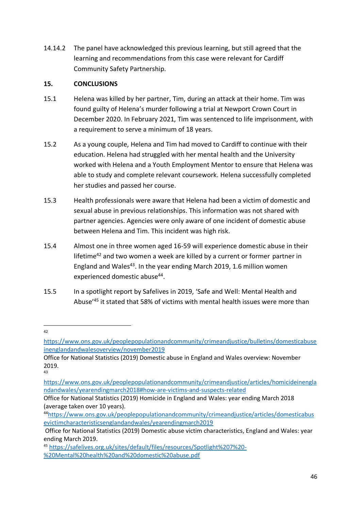14.14.2 The panel have acknowledged this previous learning, but still agreed that the learning and recommendations from this case were relevant for Cardiff Community Safety Partnership.

## **15. CONCLUSIONS**

- 15.1 Helena was killed by her partner, Tim, during an attack at their home. Tim was found guilty of Helena's murder following a trial at Newport Crown Court in December 2020. In February 2021, Tim was sentenced to life imprisonment, with a requirement to serve a minimum of 18 years.
- 15.2 As a young couple, Helena and Tim had moved to Cardiff to continue with their education. Helena had struggled with her mental health and the University worked with Helena and a Youth Employment Mentor to ensure that Helena was able to study and complete relevant coursework. Helena successfully completed her studies and passed her course.
- 15.3 Health professionals were aware that Helena had been a victim of domestic and sexual abuse in previous relationships. This information was not shared with partner agencies. Agencies were only aware of one incident of domestic abuse between Helena and Tim. This incident was high risk.
- 15.4 Almost one in three women aged 16-59 will experience domestic abuse in their lifetime<sup>42</sup> and two women a week are killed by a current or former partner in England and Wales<sup>43</sup>. In the year ending March 2019, 1.6 million women experienced domestic abuse<sup>44</sup>.
- 15.5 In a spotlight report by Safelives in 2019, 'Safe and Well: Mental Health and Abuse'<sup>45</sup> it stated that 58% of victims with mental health issues were more than

 $42$ 

[https://www.ons.gov.uk/peoplepopulationandcommunity/crimeandjustice/bulletins/domesticabuse](https://www.ons.gov.uk/peoplepopulationandcommunity/crimeandjustice/bulletins/domesticabuseinenglandandwalesoverview/november2019) [inenglandandwalesoverview/november2019](https://www.ons.gov.uk/peoplepopulationandcommunity/crimeandjustice/bulletins/domesticabuseinenglandandwalesoverview/november2019)

Office for National Statistics (2019) Domestic abuse in England and Wales overview: November 2019.

<sup>43</sup>

[https://www.ons.gov.uk/peoplepopulationandcommunity/crimeandjustice/articles/homicideinengla](https://www.ons.gov.uk/peoplepopulationandcommunity/crimeandjustice/articles/homicideinenglandandwales/yearendingmarch2018#how-are-victims-and-suspects-related) [ndandwales/yearendingmarch2018#how-are-victims-and-suspects-related](https://www.ons.gov.uk/peoplepopulationandcommunity/crimeandjustice/articles/homicideinenglandandwales/yearendingmarch2018#how-are-victims-and-suspects-related)

Office for National Statistics (2019) Homicide in England and Wales: year ending March 2018 (average taken over 10 years).

<sup>44</sup>[https://www.ons.gov.uk/peoplepopulationandcommunity/crimeandjustice/articles/domesticabus](https://www.ons.gov.uk/peoplepopulationandcommunity/crimeandjustice/articles/domesticabusevictimcharacteristicsenglandandwales/yearendingmarch2019) [evictimcharacteristicsenglandandwales/yearendingmarch2019](https://www.ons.gov.uk/peoplepopulationandcommunity/crimeandjustice/articles/domesticabusevictimcharacteristicsenglandandwales/yearendingmarch2019)

Office for National Statistics (2019) Domestic abuse victim characteristics, England and Wales: year ending March 2019.

<sup>45</sup> [https://safelives.org.uk/sites/default/files/resources/Spotlight%207%20-](https://safelives.org.uk/sites/default/files/resources/Spotlight%207%20-%20Mental%20health%20and%20domestic%20abuse.pdf) [%20Mental%20health%20and%20domestic%20abuse.pdf](https://safelives.org.uk/sites/default/files/resources/Spotlight%207%20-%20Mental%20health%20and%20domestic%20abuse.pdf)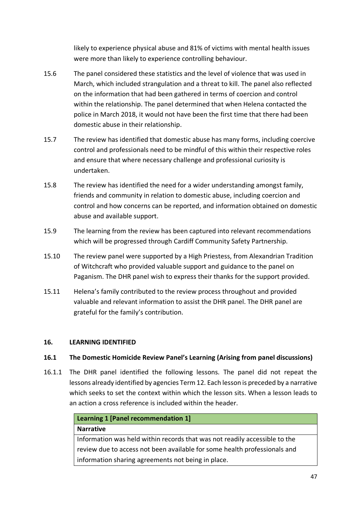likely to experience physical abuse and 81% of victims with mental health issues were more than likely to experience controlling behaviour.

- 15.6 The panel considered these statistics and the level of violence that was used in March, which included strangulation and a threat to kill. The panel also reflected on the information that had been gathered in terms of coercion and control within the relationship. The panel determined that when Helena contacted the police in March 2018, it would not have been the first time that there had been domestic abuse in their relationship.
- 15.7 The review has identified that domestic abuse has many forms, including coercive control and professionals need to be mindful of this within their respective roles and ensure that where necessary challenge and professional curiosity is undertaken.
- 15.8 The review has identified the need for a wider understanding amongst family, friends and community in relation to domestic abuse, including coercion and control and how concerns can be reported, and information obtained on domestic abuse and available support.
- 15.9 The learning from the review has been captured into relevant recommendations which will be progressed through Cardiff Community Safety Partnership.
- 15.10 The review panel were supported by a High Priestess, from Alexandrian Tradition of Witchcraft who provided valuable support and guidance to the panel on Paganism. The DHR panel wish to express their thanks for the support provided.
- 15.11 Helena's family contributed to the review process throughout and provided valuable and relevant information to assist the DHR panel. The DHR panel are grateful for the family's contribution.

## **16. LEARNING IDENTIFIED**

## **16.1 The Domestic Homicide Review Panel's Learning (Arising from panel discussions)**

16.1.1 The DHR panel identified the following lessons. The panel did not repeat the lessons already identified by agencies Term 12. Each lesson is preceded by a narrative which seeks to set the context within which the lesson sits. When a lesson leads to an action a cross reference is included within the header.

> **Learning 1 [Panel recommendation 1] Narrative**

Information was held within records that was not readily accessible to the review due to access not been available for some health professionals and information sharing agreements not being in place.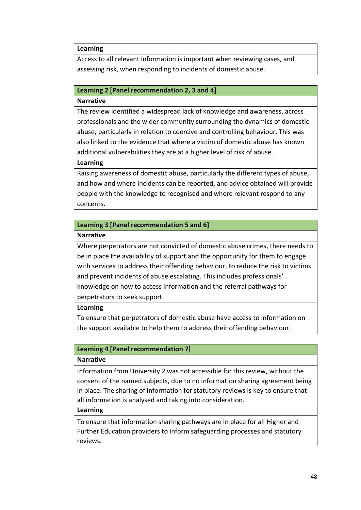#### **Learning**

Access to all relevant information is important when reviewing cases, and assessing risk, when responding to incidents of domestic abuse.

#### **Learning 2 [Panel recommendation 2, 3 and 4]**

#### **Narrative**

The review identified a widespread lack of knowledge and awareness, across professionals and the wider community surrounding the dynamics of domestic abuse, particularly in relation to coercive and controlling behaviour. This was also linked to the evidence that where a victim of domestic abuse has known additional vulnerabilities they are at a higher level of risk of abuse.

#### **Learning**

Raising awareness of domestic abuse, particularly the different types of abuse, and how and where incidents can be reported, and advice obtained will provide people with the knowledge to recognised and where relevant respond to any concerns.

## **Learning 3 [Panel recommendation 5 and 6] Narrative**

Where perpetrators are not convicted of domestic abuse crimes, there needs to be in place the availability of support and the opportunity for them to engage with services to address their offending behaviour, to reduce the risk to victims and prevent incidents of abuse escalating. This includes professionals' knowledge on how to access information and the referral pathways for perpetrators to seek support.

#### **Learning**

To ensure that perpetrators of domestic abuse have access to information on the support available to help them to address their offending behaviour.

#### **Learning 4 [Panel recommendation 7]**

#### **Narrative**

Information from University 2 was not accessible for this review, without the consent of the named subjects, due to no information sharing agreement being in place. The sharing of information for statutory reviews is key to ensure that all information is analysed and taking into consideration.

#### **Learning**

To ensure that information sharing pathways are in place for all Higher and Further Education providers to inform safeguarding processes and statutory reviews.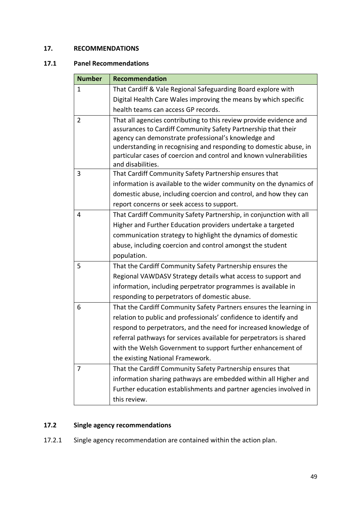#### **17. RECOMMENDATIONS**

#### **17.1 Panel Recommendations**

| <b>Number</b>  | <b>Recommendation</b>                                                                                                                                                                                                                                                                                                                                      |
|----------------|------------------------------------------------------------------------------------------------------------------------------------------------------------------------------------------------------------------------------------------------------------------------------------------------------------------------------------------------------------|
| $\mathbf{1}$   | That Cardiff & Vale Regional Safeguarding Board explore with                                                                                                                                                                                                                                                                                               |
|                | Digital Health Care Wales improving the means by which specific                                                                                                                                                                                                                                                                                            |
|                | health teams can access GP records.                                                                                                                                                                                                                                                                                                                        |
| $\overline{2}$ | That all agencies contributing to this review provide evidence and<br>assurances to Cardiff Community Safety Partnership that their<br>agency can demonstrate professional's knowledge and<br>understanding in recognising and responding to domestic abuse, in<br>particular cases of coercion and control and known vulnerabilities<br>and disabilities. |
| 3              | That Cardiff Community Safety Partnership ensures that                                                                                                                                                                                                                                                                                                     |
|                | information is available to the wider community on the dynamics of                                                                                                                                                                                                                                                                                         |
|                | domestic abuse, including coercion and control, and how they can                                                                                                                                                                                                                                                                                           |
|                | report concerns or seek access to support.                                                                                                                                                                                                                                                                                                                 |
| 4              | That Cardiff Community Safety Partnership, in conjunction with all                                                                                                                                                                                                                                                                                         |
|                | Higher and Further Education providers undertake a targeted                                                                                                                                                                                                                                                                                                |
|                | communication strategy to highlight the dynamics of domestic                                                                                                                                                                                                                                                                                               |
|                | abuse, including coercion and control amongst the student                                                                                                                                                                                                                                                                                                  |
|                | population.                                                                                                                                                                                                                                                                                                                                                |
| 5              | That the Cardiff Community Safety Partnership ensures the                                                                                                                                                                                                                                                                                                  |
|                | Regional VAWDASV Strategy details what access to support and                                                                                                                                                                                                                                                                                               |
|                | information, including perpetrator programmes is available in                                                                                                                                                                                                                                                                                              |
|                | responding to perpetrators of domestic abuse.                                                                                                                                                                                                                                                                                                              |
| 6              | That the Cardiff Community Safety Partners ensures the learning in                                                                                                                                                                                                                                                                                         |
|                | relation to public and professionals' confidence to identify and                                                                                                                                                                                                                                                                                           |
|                | respond to perpetrators, and the need for increased knowledge of                                                                                                                                                                                                                                                                                           |
|                | referral pathways for services available for perpetrators is shared                                                                                                                                                                                                                                                                                        |
|                | with the Welsh Government to support further enhancement of                                                                                                                                                                                                                                                                                                |
|                | the existing National Framework.                                                                                                                                                                                                                                                                                                                           |
| 7              | That the Cardiff Community Safety Partnership ensures that                                                                                                                                                                                                                                                                                                 |
|                | information sharing pathways are embedded within all Higher and                                                                                                                                                                                                                                                                                            |
|                | Further education establishments and partner agencies involved in                                                                                                                                                                                                                                                                                          |
|                | this review.                                                                                                                                                                                                                                                                                                                                               |

# **17.2 Single agency recommendations**

17.2.1 Single agency recommendation are contained within the action plan.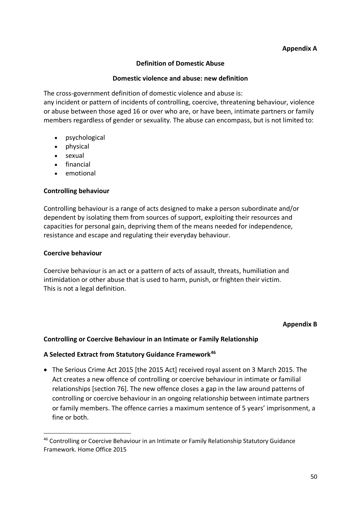## **Appendix A**

### **Definition of Domestic Abuse**

#### **Domestic violence and abuse: new definition**

The cross-government definition of domestic violence and abuse is:

any incident or pattern of incidents of controlling, coercive, threatening behaviour, violence or abuse between those aged 16 or over who are, or have been, intimate partners or family members regardless of gender or sexuality. The abuse can encompass, but is not limited to:

- psychological
- physical
- sexual
- financial
- emotional

#### **Controlling behaviour**

Controlling behaviour is a range of acts designed to make a person subordinate and/or dependent by isolating them from sources of support, exploiting their resources and capacities for personal gain, depriving them of the means needed for independence, resistance and escape and regulating their everyday behaviour.

#### **Coercive behaviour**

Coercive behaviour is an act or a pattern of acts of assault, threats, humiliation and intimidation or other abuse that is used to harm, punish, or frighten their victim. This is not a legal definition.

#### **Appendix B**

#### **Controlling or Coercive Behaviour in an Intimate or Family Relationship**

#### **A Selected Extract from Statutory Guidance Framework<sup>46</sup>**

• The Serious Crime Act 2015 [the 2015 Act] received royal assent on 3 March 2015. The Act creates a new offence of controlling or coercive behaviour in intimate or familial relationships [section 76]. The new offence closes a gap in the law around patterns of controlling or coercive behaviour in an ongoing relationship between intimate partners or family members. The offence carries a maximum sentence of 5 years' imprisonment, a fine or both.

<sup>&</sup>lt;sup>46</sup> Controlling or Coercive Behaviour in an Intimate or Family Relationship Statutory Guidance Framework. Home Office 2015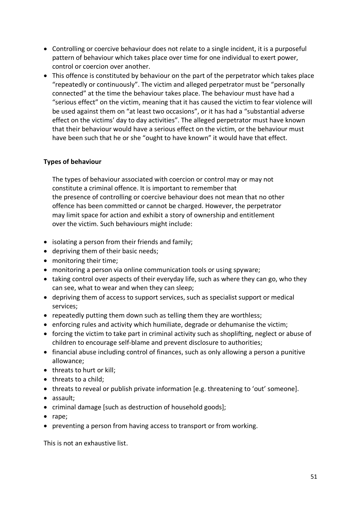- Controlling or coercive behaviour does not relate to a single incident, it is a purposeful pattern of behaviour which takes place over time for one individual to exert power, control or coercion over another.
- This offence is constituted by behaviour on the part of the perpetrator which takes place "repeatedly or continuously". The victim and alleged perpetrator must be "personally connected" at the time the behaviour takes place. The behaviour must have had a "serious effect" on the victim, meaning that it has caused the victim to fear violence will be used against them on "at least two occasions", or it has had a "substantial adverse effect on the victims' day to day activities". The alleged perpetrator must have known that their behaviour would have a serious effect on the victim, or the behaviour must have been such that he or she "ought to have known" it would have that effect.

## **Types of behaviour**

The types of behaviour associated with coercion or control may or may not constitute a criminal offence. It is important to remember that the presence of controlling or coercive behaviour does not mean that no other offence has been committed or cannot be charged. However, the perpetrator may limit space for action and exhibit a story of ownership and entitlement over the victim. Such behaviours might include:

- isolating a person from their friends and family;
- depriving them of their basic needs;
- monitoring their time;
- monitoring a person via online communication tools or using spyware;
- taking control over aspects of their everyday life, such as where they can go, who they can see, what to wear and when they can sleep;
- depriving them of access to support services, such as specialist support or medical services;
- repeatedly putting them down such as telling them they are worthless;
- enforcing rules and activity which humiliate, degrade or dehumanise the victim;
- forcing the victim to take part in criminal activity such as shoplifting, neglect or abuse of children to encourage self-blame and prevent disclosure to authorities;
- financial abuse including control of finances, such as only allowing a person a punitive allowance;
- threats to hurt or kill;
- threats to a child;
- threats to reveal or publish private information [e.g. threatening to 'out' someone].
- assault;
- criminal damage [such as destruction of household goods];
- rape;
- preventing a person from having access to transport or from working.

This is not an exhaustive list.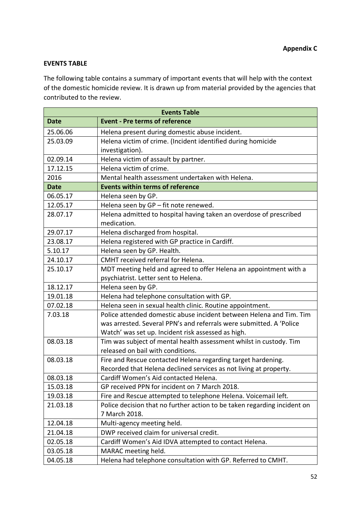## **EVENTS TABLE**

The following table contains a summary of important events that will help with the context of the domestic homicide review. It is drawn up from material provided by the agencies that contributed to the review.

| <b>Events Table</b> |                                                                          |  |
|---------------------|--------------------------------------------------------------------------|--|
| <b>Date</b>         | <b>Event - Pre terms of reference</b>                                    |  |
| 25.06.06            | Helena present during domestic abuse incident.                           |  |
| 25.03.09            | Helena victim of crime. (Incident identified during homicide             |  |
|                     | investigation).                                                          |  |
| 02.09.14            | Helena victim of assault by partner.                                     |  |
| 17.12.15            | Helena victim of crime.                                                  |  |
| 2016                | Mental health assessment undertaken with Helena.                         |  |
| <b>Date</b>         | <b>Events within terms of reference</b>                                  |  |
| 06.05.17            | Helena seen by GP.                                                       |  |
| 12.05.17            | Helena seen by GP - fit note renewed.                                    |  |
| 28.07.17            | Helena admitted to hospital having taken an overdose of prescribed       |  |
|                     | medication.                                                              |  |
| 29.07.17            | Helena discharged from hospital.                                         |  |
| 23.08.17            | Helena registered with GP practice in Cardiff.                           |  |
| 5.10.17             | Helena seen by GP. Health.                                               |  |
| 24.10.17            | CMHT received referral for Helena.                                       |  |
| 25.10.17            | MDT meeting held and agreed to offer Helena an appointment with a        |  |
|                     | psychiatrist. Letter sent to Helena.                                     |  |
| 18.12.17            | Helena seen by GP.                                                       |  |
| 19.01.18            | Helena had telephone consultation with GP.                               |  |
| 07.02.18            | Helena seen in sexual health clinic. Routine appointment.                |  |
| 7.03.18             | Police attended domestic abuse incident between Helena and Tim. Tim      |  |
|                     | was arrested. Several PPN's and referrals were submitted. A 'Police      |  |
|                     | Watch' was set up. Incident risk assessed as high.                       |  |
| 08.03.18            | Tim was subject of mental health assessment whilst in custody. Tim       |  |
|                     | released on bail with conditions.                                        |  |
| 08.03.18            | Fire and Rescue contacted Helena regarding target hardening.             |  |
|                     | Recorded that Helena declined services as not living at property.        |  |
| 08.03.18            | Cardiff Women's Aid contacted Helena.                                    |  |
| 15.03.18            | GP received PPN for incident on 7 March 2018.                            |  |
| 19.03.18            | Fire and Rescue attempted to telephone Helena. Voicemail left.           |  |
| 21.03.18            | Police decision that no further action to be taken regarding incident on |  |
|                     | 7 March 2018.                                                            |  |
| 12.04.18            | Multi-agency meeting held.                                               |  |
| 21.04.18            | DWP received claim for universal credit.                                 |  |
| 02.05.18            | Cardiff Women's Aid IDVA attempted to contact Helena.                    |  |
| 03.05.18            | MARAC meeting held.                                                      |  |
| 04.05.18            | Helena had telephone consultation with GP. Referred to CMHT.             |  |